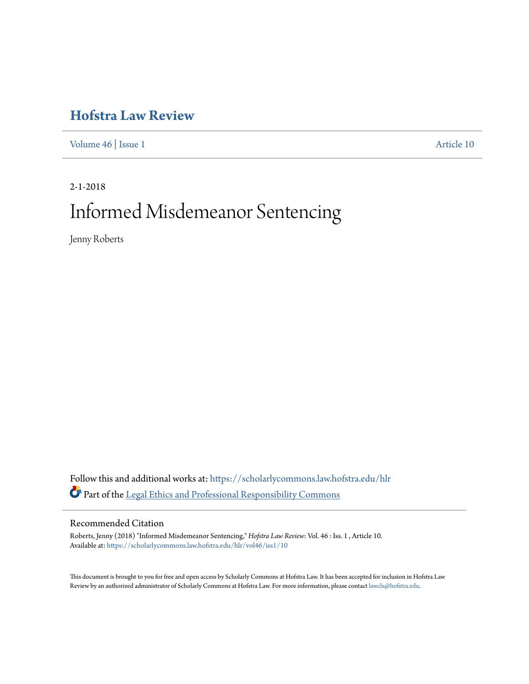# **[Hofstra Law Review](https://scholarlycommons.law.hofstra.edu/hlr?utm_source=scholarlycommons.law.hofstra.edu%2Fhlr%2Fvol46%2Fiss1%2F10&utm_medium=PDF&utm_campaign=PDFCoverPages)**

[Volume 46](https://scholarlycommons.law.hofstra.edu/hlr/vol46?utm_source=scholarlycommons.law.hofstra.edu%2Fhlr%2Fvol46%2Fiss1%2F10&utm_medium=PDF&utm_campaign=PDFCoverPages) | [Issue 1](https://scholarlycommons.law.hofstra.edu/hlr/vol46/iss1?utm_source=scholarlycommons.law.hofstra.edu%2Fhlr%2Fvol46%2Fiss1%2F10&utm_medium=PDF&utm_campaign=PDFCoverPages) [Article 10](https://scholarlycommons.law.hofstra.edu/hlr/vol46/iss1/10?utm_source=scholarlycommons.law.hofstra.edu%2Fhlr%2Fvol46%2Fiss1%2F10&utm_medium=PDF&utm_campaign=PDFCoverPages)

2-1-2018 Informed Misdemeanor Sentencing

Jenny Roberts

Follow this and additional works at: [https://scholarlycommons.law.hofstra.edu/hlr](https://scholarlycommons.law.hofstra.edu/hlr?utm_source=scholarlycommons.law.hofstra.edu%2Fhlr%2Fvol46%2Fiss1%2F10&utm_medium=PDF&utm_campaign=PDFCoverPages) Part of the [Legal Ethics and Professional Responsibility Commons](http://network.bepress.com/hgg/discipline/895?utm_source=scholarlycommons.law.hofstra.edu%2Fhlr%2Fvol46%2Fiss1%2F10&utm_medium=PDF&utm_campaign=PDFCoverPages)

### Recommended Citation

Roberts, Jenny (2018) "Informed Misdemeanor Sentencing," *Hofstra Law Review*: Vol. 46 : Iss. 1 , Article 10. Available at: [https://scholarlycommons.law.hofstra.edu/hlr/vol46/iss1/10](https://scholarlycommons.law.hofstra.edu/hlr/vol46/iss1/10?utm_source=scholarlycommons.law.hofstra.edu%2Fhlr%2Fvol46%2Fiss1%2F10&utm_medium=PDF&utm_campaign=PDFCoverPages)

This document is brought to you for free and open access by Scholarly Commons at Hofstra Law. It has been accepted for inclusion in Hofstra Law Review by an authorized administrator of Scholarly Commons at Hofstra Law. For more information, please contact [lawcls@hofstra.edu](mailto:lawcls@hofstra.edu).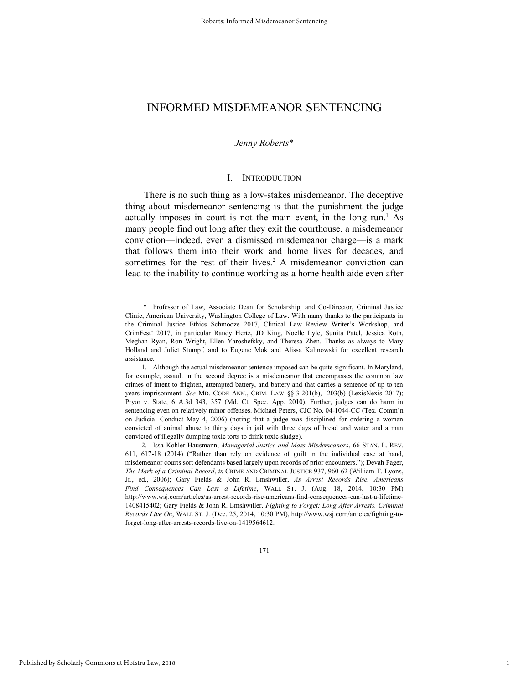### *Jenny Roberts*\*

### I. INTRODUCTION

There is no such thing as a low-stakes misdemeanor. The deceptive thing about misdemeanor sentencing is that the punishment the judge actually imposes in court is not the main event, in the long run.<sup>1</sup> As many people find out long after they exit the courthouse, a misdemeanor conviction—indeed, even a dismissed misdemeanor charge—is a mark that follows them into their work and home lives for decades, and sometimes for the rest of their lives.<sup>2</sup> A misdemeanor conviction can lead to the inability to continue working as a home health aide even after

171

1

 <sup>\*</sup> Professor of Law, Associate Dean for Scholarship, and Co-Director, Criminal Justice Clinic, American University, Washington College of Law. With many thanks to the participants in the Criminal Justice Ethics Schmooze 2017, Clinical Law Review Writer's Workshop, and CrimFest! 2017, in particular Randy Hertz, JD King, Noelle Lyle, Sunita Patel, Jessica Roth, Meghan Ryan, Ron Wright, Ellen Yaroshefsky, and Theresa Zhen. Thanks as always to Mary Holland and Juliet Stumpf, and to Eugene Mok and Alissa Kalinowski for excellent research assistance.

<sup>1.</sup> Although the actual misdemeanor sentence imposed can be quite significant. In Maryland, for example, assault in the second degree is a misdemeanor that encompasses the common law crimes of intent to frighten, attempted battery, and battery and that carries a sentence of up to ten years imprisonment. *See* MD. CODE ANN., CRIM. LAW §§ 3-201(b), -203(b) (LexisNexis 2017); Pryor v. State, 6 A.3d 343, 357 (Md. Ct. Spec. App. 2010). Further, judges can do harm in sentencing even on relatively minor offenses. Michael Peters, CJC No. 04-1044-CC (Tex. Comm'n on Judicial Conduct May 4, 2006) (noting that a judge was disciplined for ordering a woman convicted of animal abuse to thirty days in jail with three days of bread and water and a man convicted of illegally dumping toxic torts to drink toxic sludge).

<sup>2.</sup> Issa Kohler-Hausmann, *Managerial Justice and Mass Misdemeanors*, 66 STAN. L. REV. 611, 617-18 (2014) ("Rather than rely on evidence of guilt in the individual case at hand, misdemeanor courts sort defendants based largely upon records of prior encounters."); Devah Pager, *The Mark of a Criminal Record*, *in* CRIME AND CRIMINAL JUSTICE 937, 960-62 (William T. Lyons, Jr., ed., 2006); Gary Fields & John R. Emshwiller, *As Arrest Records Rise, Americans Find Consequences Can Last a Lifetime*, WALL ST. J. (Aug. 18, 2014, 10:30 PM) http://www.wsj.com/articles/as-arrest-records-rise-americans-find-consequences-can-last-a-lifetime-1408415402; Gary Fields & John R. Emshwiller, *Fighting to Forget: Long After Arrests, Criminal Records Live On*, WALL ST. J. (Dec. 25, 2014, 10:30 PM), http://www.wsj.com/articles/fighting-toforget-long-after-arrests-records-live-on-1419564612.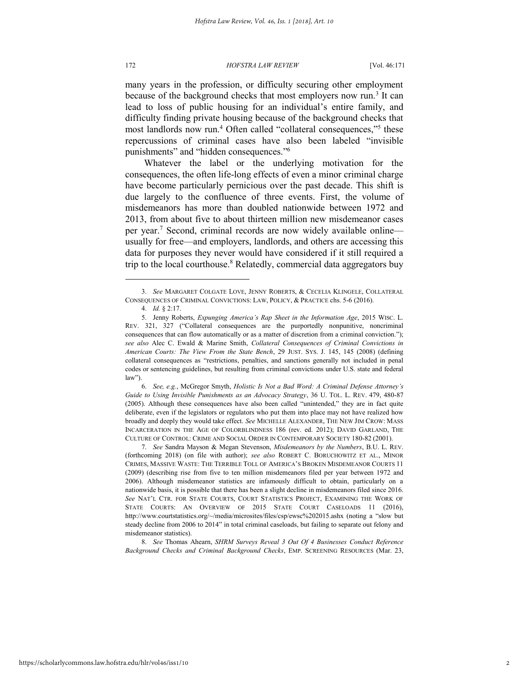many years in the profession, or difficulty securing other employment because of the background checks that most employers now run.<sup>3</sup> It can lead to loss of public housing for an individual's entire family, and difficulty finding private housing because of the background checks that most landlords now run.<sup>4</sup> Often called "collateral consequences,"<sup>5</sup> these repercussions of criminal cases have also been labeled "invisible punishments" and "hidden consequences." 6

Whatever the label or the underlying motivation for the consequences, the often life-long effects of even a minor criminal charge have become particularly pernicious over the past decade. This shift is due largely to the confluence of three events. First, the volume of misdemeanors has more than doubled nationwide between 1972 and 2013, from about five to about thirteen million new misdemeanor cases per year.<sup>7</sup> Second, criminal records are now widely available onlineusually for free—and employers, landlords, and others are accessing this data for purposes they never would have considered if it still required a trip to the local courthouse.<sup>8</sup> Relatedly, commercial data aggregators buy

l

6. *See, e.g.*, McGregor Smyth, *Holistic Is Not a Bad Word: A Criminal Defense Attorney's Guide to Using Invisible Punishments as an Advocacy Strategy*, 36 U. TOL. L. REV. 479, 480-87 (2005). Although these consequences have also been called "unintended," they are in fact quite deliberate, even if the legislators or regulators who put them into place may not have realized how broadly and deeply they would take effect. *See* MICHELLE ALEXANDER, THE NEW JIM CROW: MASS INCARCERATION IN THE AGE OF COLORBLINDNESS 186 (rev. ed. 2012); DAVID GARLAND, THE CULTURE OF CONTROL: CRIME AND SOCIAL ORDER IN CONTEMPORARY SOCIETY 180-82 (2001).

7. *See* Sandra Mayson & Megan Stevenson, *Misdemeanors by the Numbers*, B.U. L. REV. (forthcoming 2018) (on file with author); *see also* ROBERT C. BORUCHOWITZ ET AL., MINOR CRIMES, MASSIVE WASTE: THE TERRIBLE TOLL OF AMERICA'S BROKEN MISDEMEANOR COURTS 11 (2009) (describing rise from five to ten million misdemeanors filed per year between 1972 and 2006). Although misdemeanor statistics are infamously difficult to obtain, particularly on a nationwide basis, it is possible that there has been a slight decline in misdemeanors filed since 2016. *See* NAT'L CTR. FOR STATE COURTS, COURT STATISTICS PROJECT, EXAMINING THE WORK OF STATE COURTS: AN OVERVIEW OF 2015 STATE COURT CASELOADS 11 (2016), http://www.courtstatistics.org/~/media/microsites/files/csp/ewsc%202015.ashx (noting a "slow but steady decline from 2006 to 2014" in total criminal caseloads, but failing to separate out felony and misdemeanor statistics).

8. *See* Thomas Ahearn, *SHRM Surveys Reveal 3 Out Of 4 Businesses Conduct Reference Background Checks and Criminal Background Checks*, EMP. SCREENING RESOURCES (Mar. 23,

<sup>3.</sup> *See* MARGARET COLGATE LOVE, JENNY ROBERTS, & CECELIA KLINGELE, COLLATERAL CONSEQUENCES OF CRIMINAL CONVICTIONS: LAW, POLICY, & PRACTICE chs. 5-6 (2016).

<sup>4.</sup> *Id.* § 2:17.

<sup>5.</sup> Jenny Roberts, *Expunging America's Rap Sheet in the Information Age*, 2015 WISC. L. REV. 321, 327 ("Collateral consequences are the purportedly nonpunitive, noncriminal consequences that can flow automatically or as a matter of discretion from a criminal conviction."); *see also* Alec C. Ewald & Marine Smith, *Collateral Consequences of Criminal Convictions in American Courts: The View From the State Bench*, 29 JUST. SYS. J. 145, 145 (2008) (defining collateral consequences as "restrictions, penalties, and sanctions generally not included in penal codes or sentencing guidelines, but resulting from criminal convictions under U.S. state and federal law")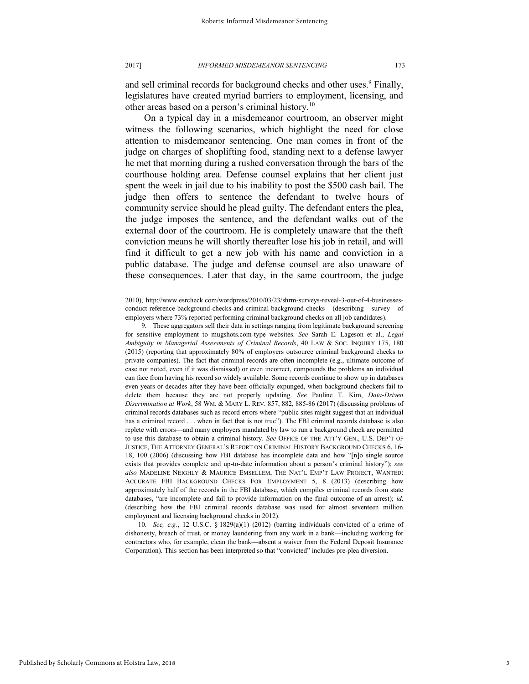and sell criminal records for background checks and other uses.<sup>9</sup> Finally, legislatures have created myriad barriers to employment, licensing, and other areas based on a person's criminal history.<sup>10</sup>

On a typical day in a misdemeanor courtroom, an observer might witness the following scenarios, which highlight the need for close attention to misdemeanor sentencing. One man comes in front of the judge on charges of shoplifting food, standing next to a defense lawyer he met that morning during a rushed conversation through the bars of the courthouse holding area. Defense counsel explains that her client just spent the week in jail due to his inability to post the \$500 cash bail. The judge then offers to sentence the defendant to twelve hours of community service should he plead guilty. The defendant enters the plea, the judge imposes the sentence, and the defendant walks out of the external door of the courtroom. He is completely unaware that the theft conviction means he will shortly thereafter lose his job in retail, and will find it difficult to get a new job with his name and conviction in a public database. The judge and defense counsel are also unaware of these consequences. Later that day, in the same courtroom, the judge

10. *See, e.g.*, 12 U.S.C. § 1829(a)(1) (2012) (barring individuals convicted of a crime of dishonesty, breach of trust, or money laundering from any work in a bank—including working for contractors who, for example, clean the bank—absent a waiver from the Federal Deposit Insurance Corporation). This section has been interpreted so that "convicted" includes pre-plea diversion.

<sup>2010),</sup> http://www.esrcheck.com/wordpress/2010/03/23/shrm-surveys-reveal-3-out-of-4-businessesconduct-reference-background-checks-and-criminal-background-checks (describing survey of employers where 73% reported performing criminal background checks on all job candidates).

<sup>9.</sup> These aggregators sell their data in settings ranging from legitimate background screening for sensitive employment to mugshots.com-type websites. *See* Sarah E. Lageson et al., *Legal Ambiguity in Managerial Assessments of Criminal Records*, 40 LAW & SOC. INQUIRY 175, 180 (2015) (reporting that approximately 80% of employers outsource criminal background checks to private companies). The fact that criminal records are often incomplete (e.g., ultimate outcome of case not noted, even if it was dismissed) or even incorrect, compounds the problems an individual can face from having his record so widely available. Some records continue to show up in databases even years or decades after they have been officially expunged, when background checkers fail to delete them because they are not properly updating. *See* Pauline T. Kim, *Data-Driven Discrimination at Work*, 58 WM. & MARY L. REV. 857, 882, 885-86 (2017) (discussing problems of criminal records databases such as record errors where "public sites might suggest that an individual has a criminal record . . . when in fact that is not true"). The FBI criminal records database is also replete with errors—and many employers mandated by law to run a background check are permitted to use this database to obtain a criminal history. *See* OFFICE OF THE ATT'Y GEN., U.S. DEP'T OF JUSTICE, THE ATTORNEY GENERAL'S REPORT ON CRIMINAL HISTORY BACKGROUND CHECKS 6, 16- 18, 100 (2006) (discussing how FBI database has incomplete data and how "[n]o single source exists that provides complete and up-to-date information about a person's criminal history"); *see also* MADELINE NEIGHLY & MAURICE EMSELLEM, THE NAT'L EMP'T LAW PROJECT, WANTED: ACCURATE FBI BACKGROUND CHECKS FOR EMPLOYMENT 5, 8 (2013) (describing how approximately half of the records in the FBI database, which compiles criminal records from state databases, "are incomplete and fail to provide information on the final outcome of an arrest); *id*. (describing how the FBI criminal records database was used for almost seventeen million employment and licensing background checks in 2012).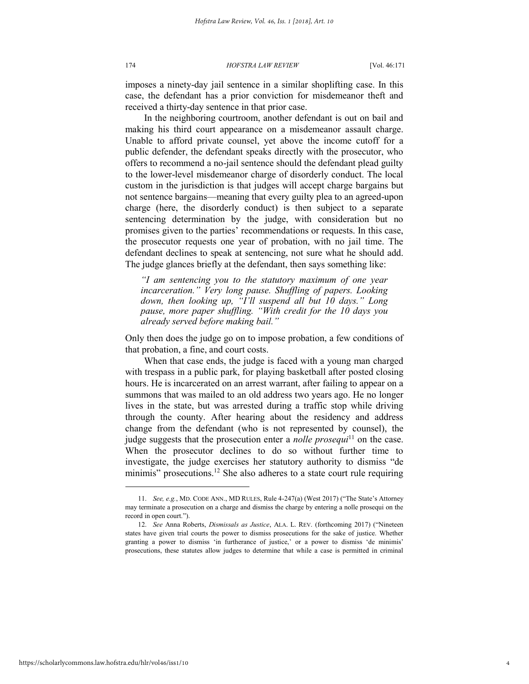imposes a ninety-day jail sentence in a similar shoplifting case. In this case, the defendant has a prior conviction for misdemeanor theft and received a thirty-day sentence in that prior case.

In the neighboring courtroom, another defendant is out on bail and making his third court appearance on a misdemeanor assault charge. Unable to afford private counsel, yet above the income cutoff for a public defender, the defendant speaks directly with the prosecutor, who offers to recommend a no-jail sentence should the defendant plead guilty to the lower-level misdemeanor charge of disorderly conduct. The local custom in the jurisdiction is that judges will accept charge bargains but not sentence bargains—meaning that every guilty plea to an agreed-upon charge (here, the disorderly conduct) is then subject to a separate sentencing determination by the judge, with consideration but no promises given to the parties' recommendations or requests. In this case, the prosecutor requests one year of probation, with no jail time. The defendant declines to speak at sentencing, not sure what he should add. The judge glances briefly at the defendant, then says something like:

*"I am sentencing you to the statutory maximum of one year incarceration." Very long pause. Shuffling of papers. Looking down, then looking up, "I'll suspend all but 10 days." Long pause, more paper shuffling. "With credit for the 10 days you already served before making bail."*

Only then does the judge go on to impose probation, a few conditions of that probation, a fine, and court costs.

When that case ends, the judge is faced with a young man charged with trespass in a public park, for playing basketball after posted closing hours. He is incarcerated on an arrest warrant, after failing to appear on a summons that was mailed to an old address two years ago. He no longer lives in the state, but was arrested during a traffic stop while driving through the county. After hearing about the residency and address change from the defendant (who is not represented by counsel), the judge suggests that the prosecution enter a *nolle prosequi*<sup>11</sup> on the case. When the prosecutor declines to do so without further time to investigate, the judge exercises her statutory authority to dismiss "de minimis" prosecutions.<sup>12</sup> She also adheres to a state court rule requiring

<sup>11.</sup> *See, e.g.*, MD. CODE ANN., MD RULES, Rule 4-247(a) (West 2017) ("The State's Attorney may terminate a prosecution on a charge and dismiss the charge by entering a nolle prosequi on the record in open court.").

<sup>12.</sup> *See* Anna Roberts, *Dismissals as Justice*, ALA. L. REV. (forthcoming 2017) ("Nineteen states have given trial courts the power to dismiss prosecutions for the sake of justice. Whether granting a power to dismiss 'in furtherance of justice,' or a power to dismiss 'de minimis' prosecutions, these statutes allow judges to determine that while a case is permitted in criminal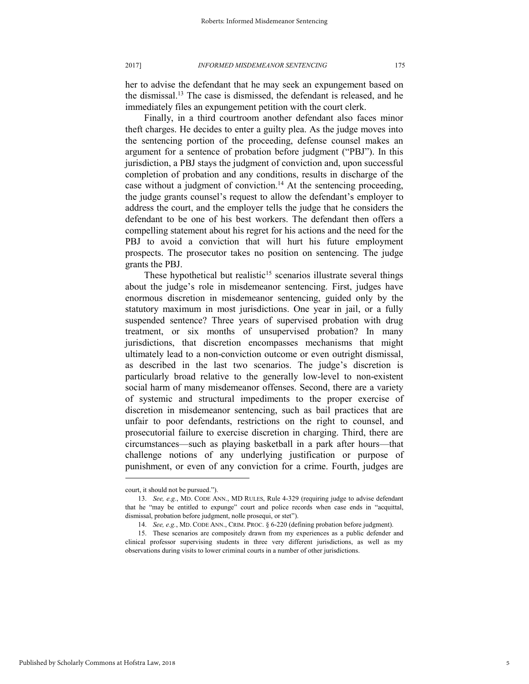her to advise the defendant that he may seek an expungement based on the dismissal.<sup>13</sup> The case is dismissed, the defendant is released, and he immediately files an expungement petition with the court clerk.

Finally, in a third courtroom another defendant also faces minor theft charges. He decides to enter a guilty plea. As the judge moves into the sentencing portion of the proceeding, defense counsel makes an argument for a sentence of probation before judgment ("PBJ"). In this jurisdiction, a PBJ stays the judgment of conviction and, upon successful completion of probation and any conditions, results in discharge of the case without a judgment of conviction.<sup>14</sup> At the sentencing proceeding, the judge grants counsel's request to allow the defendant's employer to address the court, and the employer tells the judge that he considers the defendant to be one of his best workers. The defendant then offers a compelling statement about his regret for his actions and the need for the PBJ to avoid a conviction that will hurt his future employment prospects. The prosecutor takes no position on sentencing. The judge grants the PBJ.

These hypothetical but realistic<sup>15</sup> scenarios illustrate several things about the judge's role in misdemeanor sentencing. First, judges have enormous discretion in misdemeanor sentencing, guided only by the statutory maximum in most jurisdictions. One year in jail, or a fully suspended sentence? Three years of supervised probation with drug treatment, or six months of unsupervised probation? In many jurisdictions, that discretion encompasses mechanisms that might ultimately lead to a non-conviction outcome or even outright dismissal, as described in the last two scenarios. The judge's discretion is particularly broad relative to the generally low-level to non-existent social harm of many misdemeanor offenses. Second, there are a variety of systemic and structural impediments to the proper exercise of discretion in misdemeanor sentencing, such as bail practices that are unfair to poor defendants, restrictions on the right to counsel, and prosecutorial failure to exercise discretion in charging. Third, there are circumstances—such as playing basketball in a park after hours—that challenge notions of any underlying justification or purpose of punishment, or even of any conviction for a crime. Fourth, judges are

court, it should not be pursued.").

<sup>13.</sup> *See, e.g.*, MD. CODE ANN., MD RULES, Rule 4-329 (requiring judge to advise defendant that he "may be entitled to expunge" court and police records when case ends in "acquittal, dismissal, probation before judgment, nolle prosequi, or stet").

<sup>14.</sup> *See, e.g.*, MD. CODE ANN., CRIM. PROC. § 6-220 (defining probation before judgment).

<sup>15.</sup> These scenarios are compositely drawn from my experiences as a public defender and clinical professor supervising students in three very different jurisdictions, as well as my observations during visits to lower criminal courts in a number of other jurisdictions.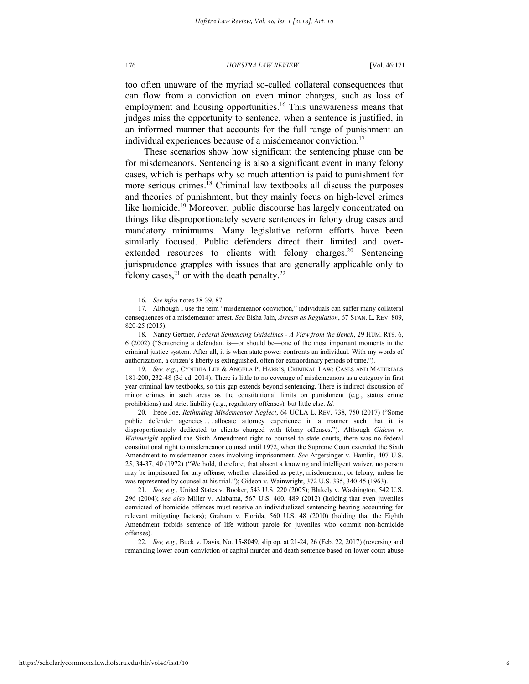too often unaware of the myriad so-called collateral consequences that can flow from a conviction on even minor charges, such as loss of employment and housing opportunities.<sup>16</sup> This unawareness means that judges miss the opportunity to sentence, when a sentence is justified, in an informed manner that accounts for the full range of punishment an individual experiences because of a misdemeanor conviction.<sup>17</sup>

These scenarios show how significant the sentencing phase can be for misdemeanors. Sentencing is also a significant event in many felony cases, which is perhaps why so much attention is paid to punishment for more serious crimes.<sup>18</sup> Criminal law textbooks all discuss the purposes and theories of punishment, but they mainly focus on high-level crimes like homicide.<sup>19</sup> Moreover, public discourse has largely concentrated on things like disproportionately severe sentences in felony drug cases and mandatory minimums. Many legislative reform efforts have been similarly focused. Public defenders direct their limited and overextended resources to clients with felony charges.<sup>20</sup> Sentencing jurisprudence grapples with issues that are generally applicable only to felony cases,<sup>21</sup> or with the death penalty.<sup>22</sup>

19. *See, e.g.*, CYNTHIA LEE & ANGELA P. HARRIS, CRIMINAL LAW: CASES AND MATERIALS 181-200, 232-48 (3d ed. 2014). There is little to no coverage of misdemeanors as a category in first year criminal law textbooks, so this gap extends beyond sentencing. There is indirect discussion of minor crimes in such areas as the constitutional limits on punishment (e.g., status crime prohibitions) and strict liability (e.g., regulatory offenses), but little else. *Id.*

20. Irene Joe, *Rethinking Misdemeanor Neglect*, 64 UCLA L. REV. 738, 750 (2017) ("Some public defender agencies . . . allocate attorney experience in a manner such that it is disproportionately dedicated to clients charged with felony offenses."). Although *Gideon v. Wainwright* applied the Sixth Amendment right to counsel to state courts, there was no federal constitutional right to misdemeanor counsel until 1972, when the Supreme Court extended the Sixth Amendment to misdemeanor cases involving imprisonment. *See* Argersinger v. Hamlin, 407 U.S. 25, 34-37, 40 (1972) ("We hold, therefore, that absent a knowing and intelligent waiver, no person may be imprisoned for any offense, whether classified as petty, misdemeanor, or felony, unless he was represented by counsel at his trial."); Gideon v. Wainwright, 372 U.S. 335, 340-45 (1963).

21. *See, e.g.*, United States v. Booker, 543 U.S. 220 (2005); Blakely v. Washington, 542 U.S. 296 (2004); *see also* Miller v. Alabama, 567 U.S. 460, 489 (2012) (holding that even juveniles convicted of homicide offenses must receive an individualized sentencing hearing accounting for relevant mitigating factors); Graham v. Florida, 560 U.S. 48 (2010) (holding that the Eighth Amendment forbids sentence of life without parole for juveniles who commit non-homicide offenses).

22. *See, e.g.*, Buck v. Davis, No. 15-8049, slip op. at 21-24, 26 (Feb. 22, 2017) (reversing and remanding lower court conviction of capital murder and death sentence based on lower court abuse

<sup>16.</sup> *See infra* notes 38-39, 87.

<sup>17.</sup> Although I use the term "misdemeanor conviction," individuals can suffer many collateral consequences of a misdemeanor arrest. *See* Eisha Jain, *Arrests as Regulation*, 67 STAN. L. REV. 809, 820-25 (2015).

<sup>18.</sup> Nancy Gertner, *Federal Sentencing Guidelines - A View from the Bench*, 29 HUM. RTS. 6, 6 (2002) ("Sentencing a defendant is—or should be—one of the most important moments in the criminal justice system. After all, it is when state power confronts an individual. With my words of authorization, a citizen's liberty is extinguished, often for extraordinary periods of time.").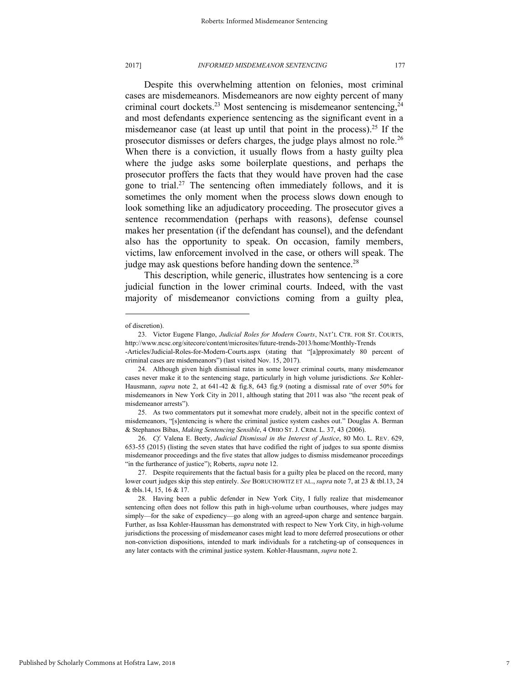Despite this overwhelming attention on felonies, most criminal cases are misdemeanors. Misdemeanors are now eighty percent of many criminal court dockets.<sup>23</sup> Most sentencing is misdemeanor sentencing, $24$ and most defendants experience sentencing as the significant event in a misdemeanor case (at least up until that point in the process).<sup>25</sup> If the prosecutor dismisses or defers charges, the judge plays almost no role.<sup>26</sup> When there is a conviction, it usually flows from a hasty guilty plea where the judge asks some boilerplate questions, and perhaps the prosecutor proffers the facts that they would have proven had the case gone to trial.<sup>27</sup> The sentencing often immediately follows, and it is sometimes the only moment when the process slows down enough to look something like an adjudicatory proceeding. The prosecutor gives a sentence recommendation (perhaps with reasons), defense counsel makes her presentation (if the defendant has counsel), and the defendant also has the opportunity to speak. On occasion, family members, victims, law enforcement involved in the case, or others will speak. The judge may ask questions before handing down the sentence.<sup>28</sup>

This description, while generic, illustrates how sentencing is a core judicial function in the lower criminal courts. Indeed, with the vast majority of misdemeanor convictions coming from a guilty plea,

of discretion).

<sup>23.</sup> Victor Eugene Flango, *Judicial Roles for Modern Courts*, NAT'L CTR. FOR ST. COURTS, http://www.ncsc.org/sitecore/content/microsites/future-trends-2013/home/Monthly-Trends

<sup>-</sup>Articles/Judicial-Roles-for-Modern-Courts.aspx (stating that "[a]pproximately 80 percent of criminal cases are misdemeanors") (last visited Nov. 15, 2017).

<sup>24.</sup> Although given high dismissal rates in some lower criminal courts, many misdemeanor cases never make it to the sentencing stage, particularly in high volume jurisdictions. *See* Kohler-Hausmann, *supra* note 2, at 641-42 & fig.8, 643 fig.9 (noting a dismissal rate of over 50% for misdemeanors in New York City in 2011, although stating that 2011 was also "the recent peak of misdemeanor arrests").

<sup>25.</sup> As two commentators put it somewhat more crudely, albeit not in the specific context of misdemeanors, "[s]entencing is where the criminal justice system cashes out." Douglas A. Berman & Stephanos Bibas, *Making Sentencing Sensible*, 4 OHIO ST. J. CRIM. L. 37, 43 (2006).

<sup>26.</sup> *Cf.* Valena E. Beety, *Judicial Dismissal in the Interest of Justice*, 80 MO. L. REV. 629, 653-55 (2015) (listing the seven states that have codified the right of judges to sua sponte dismiss misdemeanor proceedings and the five states that allow judges to dismiss misdemeanor proceedings "in the furtherance of justice"); Roberts, *supra* note 12.

<sup>27.</sup> Despite requirements that the factual basis for a guilty plea be placed on the record, many lower court judges skip this step entirely. *See* BORUCHOWITZ ET AL., *supra* note 7, at 23 & tbl.13, 24 & tbls.14, 15, 16 & 17.

<sup>28.</sup> Having been a public defender in New York City, I fully realize that misdemeanor sentencing often does not follow this path in high-volume urban courthouses, where judges may simply—for the sake of expediency—go along with an agreed-upon charge and sentence bargain. Further, as Issa Kohler-Haussman has demonstrated with respect to New York City, in high-volume jurisdictions the processing of misdemeanor cases might lead to more deferred prosecutions or other non-conviction dispositions, intended to mark individuals for a ratcheting-up of consequences in any later contacts with the criminal justice system. Kohler-Hausmann, *supra* note 2.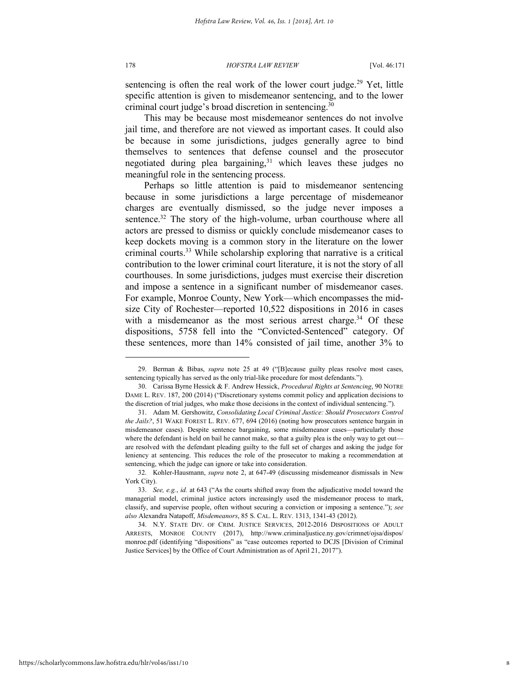sentencing is often the real work of the lower court judge.<sup>29</sup> Yet, little specific attention is given to misdemeanor sentencing, and to the lower criminal court judge's broad discretion in sentencing.<sup>30</sup>

This may be because most misdemeanor sentences do not involve jail time, and therefore are not viewed as important cases. It could also be because in some jurisdictions, judges generally agree to bind themselves to sentences that defense counsel and the prosecutor negotiated during plea bargaining, $31$  which leaves these judges no meaningful role in the sentencing process.

Perhaps so little attention is paid to misdemeanor sentencing because in some jurisdictions a large percentage of misdemeanor charges are eventually dismissed, so the judge never imposes a sentence.<sup>32</sup> The story of the high-volume, urban courthouse where all actors are pressed to dismiss or quickly conclude misdemeanor cases to keep dockets moving is a common story in the literature on the lower criminal courts.<sup>33</sup> While scholarship exploring that narrative is a critical contribution to the lower criminal court literature, it is not the story of all courthouses. In some jurisdictions, judges must exercise their discretion and impose a sentence in a significant number of misdemeanor cases. For example, Monroe County, New York—which encompasses the midsize City of Rochester—reported 10,522 dispositions in 2016 in cases with a misdemeanor as the most serious arrest charge.<sup>34</sup> Of these dispositions, 5758 fell into the "Convicted-Sentenced" category. Of these sentences, more than 14% consisted of jail time, another 3% to

<sup>29.</sup> Berman & Bibas, *supra* note 25 at 49 ("[B]ecause guilty pleas resolve most cases, sentencing typically has served as the only trial-like procedure for most defendants.").

<sup>30.</sup> Carissa Byrne Hessick & F. Andrew Hessick, *Procedural Rights at Sentencing*, 90 NOTRE DAME L. REV. 187, 200 (2014) ("Discretionary systems commit policy and application decisions to the discretion of trial judges, who make those decisions in the context of individual sentencing.").

<sup>31.</sup> Adam M. Gershowitz, *Consolidating Local Criminal Justice: Should Prosecutors Control the Jails?*, 51 WAKE FOREST L. REV. 677, 694 (2016) (noting how prosecutors sentence bargain in misdemeanor cases). Despite sentence bargaining, some misdemeanor cases—particularly those where the defendant is held on bail he cannot make, so that a guilty plea is the only way to get out are resolved with the defendant pleading guilty to the full set of charges and asking the judge for leniency at sentencing. This reduces the role of the prosecutor to making a recommendation at sentencing, which the judge can ignore or take into consideration.

<sup>32.</sup> Kohler-Hausmann, *supra* note 2, at 647-49 (discussing misdemeanor dismissals in New York City).

<sup>33.</sup> *See, e.g.*, *id.* at 643 ("As the courts shifted away from the adjudicative model toward the managerial model, criminal justice actors increasingly used the misdemeanor process to mark, classify, and supervise people, often without securing a conviction or imposing a sentence."); *see also* Alexandra Natapoff, *Misdemeanors*, 85 S. CAL. L. REV. 1313, 1341-43 (2012).

<sup>34.</sup> N.Y. STATE DIV. OF CRIM. JUSTICE SERVICES, 2012-2016 DISPOSITIONS OF ADULT ARRESTS, MONROE COUNTY (2017), http://www.criminaljustice.ny.gov/crimnet/ojsa/dispos/ monroe.pdf (identifying "dispositions" as "case outcomes reported to DCJS [Division of Criminal Justice Services] by the Office of Court Administration as of April 21, 2017").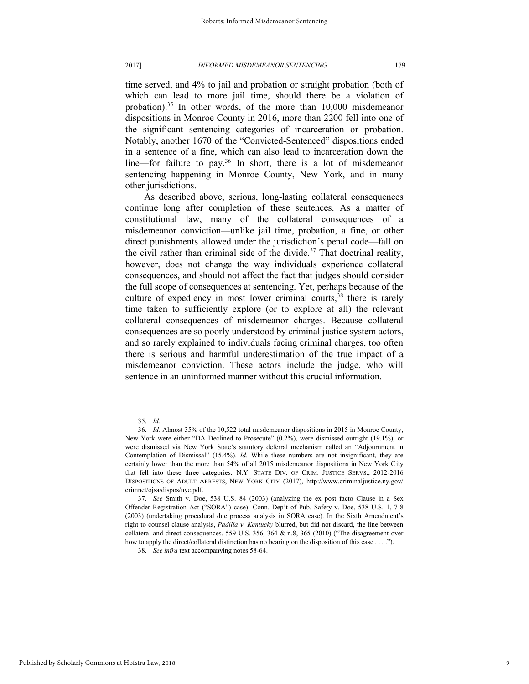time served, and 4% to jail and probation or straight probation (both of which can lead to more jail time, should there be a violation of probation).<sup>35</sup> In other words, of the more than  $10,000$  misdemeanor dispositions in Monroe County in 2016, more than 2200 fell into one of the significant sentencing categories of incarceration or probation. Notably, another 1670 of the "Convicted-Sentenced" dispositions ended in a sentence of a fine, which can also lead to incarceration down the line—for failure to pay.<sup>36</sup> In short, there is a lot of misdemeanor sentencing happening in Monroe County, New York, and in many other jurisdictions.

As described above, serious, long-lasting collateral consequences continue long after completion of these sentences. As a matter of constitutional law, many of the collateral consequences of a misdemeanor conviction—unlike jail time, probation, a fine, or other direct punishments allowed under the jurisdiction's penal code—fall on the civil rather than criminal side of the divide.<sup>37</sup> That doctrinal reality, however, does not change the way individuals experience collateral consequences, and should not affect the fact that judges should consider the full scope of consequences at sentencing. Yet, perhaps because of the culture of expediency in most lower criminal courts,<sup>38</sup> there is rarely time taken to sufficiently explore (or to explore at all) the relevant collateral consequences of misdemeanor charges. Because collateral consequences are so poorly understood by criminal justice system actors, and so rarely explained to individuals facing criminal charges, too often there is serious and harmful underestimation of the true impact of a misdemeanor conviction. These actors include the judge, who will sentence in an uninformed manner without this crucial information.

<sup>35.</sup> *Id.* 

<sup>36.</sup> *Id.* Almost 35% of the 10,522 total misdemeanor dispositions in 2015 in Monroe County, New York were either "DA Declined to Prosecute" (0.2%), were dismissed outright (19.1%), or were dismissed via New York State's statutory deferral mechanism called an "Adjournment in Contemplation of Dismissal" (15.4%). *Id*. While these numbers are not insignificant, they are certainly lower than the more than 54% of all 2015 misdemeanor dispositions in New York City that fell into these three categories. N.Y. STATE DIV. OF CRIM. JUSTICE SERVS., 2012-2016 DISPOSITIONS OF ADULT ARRESTS, NEW YORK CITY (2017), http://www.criminaljustice.ny.gov/ crimnet/ojsa/dispos/nyc.pdf.

<sup>37.</sup> *See* Smith v. Doe, 538 U.S. 84 (2003) (analyzing the ex post facto Clause in a Sex Offender Registration Act ("SORA") case); Conn. Dep't of Pub. Safety v. Doe, 538 U.S. 1, 7-8 (2003) (undertaking procedural due process analysis in SORA case). In the Sixth Amendment's right to counsel clause analysis, *Padilla v. Kentucky* blurred, but did not discard, the line between collateral and direct consequences. 559 U.S. 356, 364  $\&$  n.8, 365 (2010) ("The disagreement over how to apply the direct/collateral distinction has no bearing on the disposition of this case . . . .").

<sup>38.</sup> *See infra* text accompanying notes 58-64.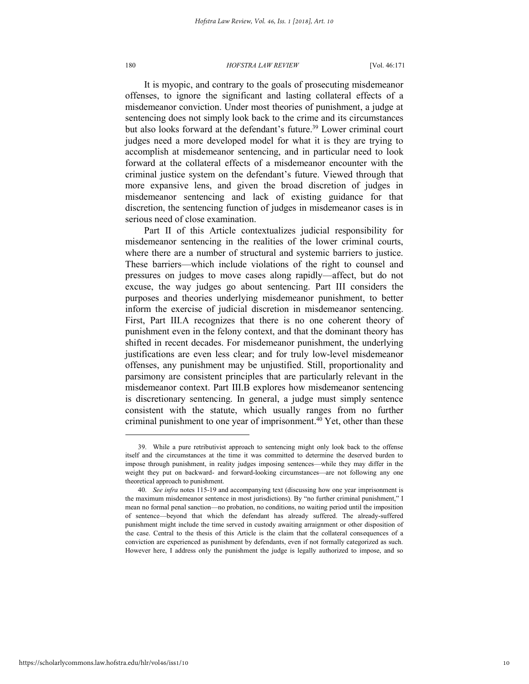It is myopic, and contrary to the goals of prosecuting misdemeanor offenses, to ignore the significant and lasting collateral effects of a misdemeanor conviction. Under most theories of punishment, a judge at sentencing does not simply look back to the crime and its circumstances but also looks forward at the defendant's future.<sup>39</sup> Lower criminal court judges need a more developed model for what it is they are trying to accomplish at misdemeanor sentencing, and in particular need to look forward at the collateral effects of a misdemeanor encounter with the criminal justice system on the defendant's future. Viewed through that more expansive lens, and given the broad discretion of judges in misdemeanor sentencing and lack of existing guidance for that discretion, the sentencing function of judges in misdemeanor cases is in serious need of close examination.

Part II of this Article contextualizes judicial responsibility for misdemeanor sentencing in the realities of the lower criminal courts, where there are a number of structural and systemic barriers to justice. These barriers—which include violations of the right to counsel and pressures on judges to move cases along rapidly—affect, but do not excuse, the way judges go about sentencing. Part III considers the purposes and theories underlying misdemeanor punishment, to better inform the exercise of judicial discretion in misdemeanor sentencing. First, Part III.A recognizes that there is no one coherent theory of punishment even in the felony context, and that the dominant theory has shifted in recent decades. For misdemeanor punishment, the underlying justifications are even less clear; and for truly low-level misdemeanor offenses, any punishment may be unjustified. Still, proportionality and parsimony are consistent principles that are particularly relevant in the misdemeanor context. Part III.B explores how misdemeanor sentencing is discretionary sentencing. In general, a judge must simply sentence consistent with the statute, which usually ranges from no further criminal punishment to one year of imprisonment.<sup>40</sup> Yet, other than these

<sup>39.</sup> While a pure retributivist approach to sentencing might only look back to the offense itself and the circumstances at the time it was committed to determine the deserved burden to impose through punishment, in reality judges imposing sentences—while they may differ in the weight they put on backward- and forward-looking circumstances—are not following any one theoretical approach to punishment.

<sup>40.</sup> *See infra* notes 115-19 and accompanying text (discussing how one year imprisonment is the maximum misdemeanor sentence in most jurisdictions). By "no further criminal punishment," I mean no formal penal sanction—no probation, no conditions, no waiting period until the imposition of sentence—beyond that which the defendant has already suffered. The already-suffered punishment might include the time served in custody awaiting arraignment or other disposition of the case. Central to the thesis of this Article is the claim that the collateral consequences of a conviction are experienced as punishment by defendants, even if not formally categorized as such. However here, I address only the punishment the judge is legally authorized to impose, and so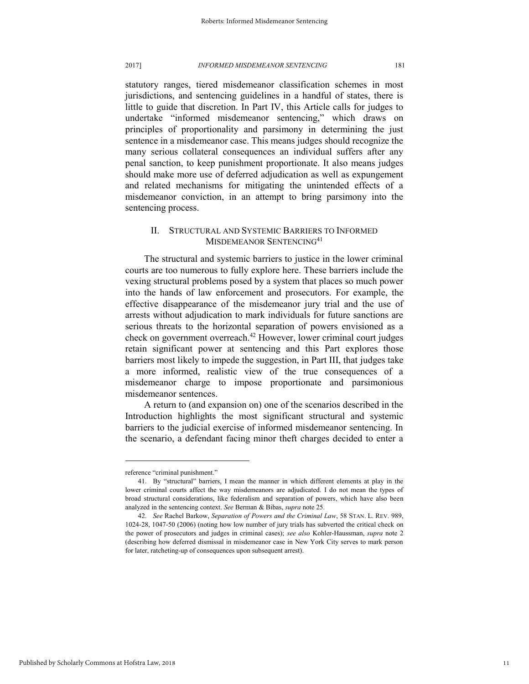statutory ranges, tiered misdemeanor classification schemes in most jurisdictions, and sentencing guidelines in a handful of states, there is little to guide that discretion. In Part IV, this Article calls for judges to undertake "informed misdemeanor sentencing," which draws on principles of proportionality and parsimony in determining the just sentence in a misdemeanor case. This means judges should recognize the many serious collateral consequences an individual suffers after any penal sanction, to keep punishment proportionate. It also means judges should make more use of deferred adjudication as well as expungement and related mechanisms for mitigating the unintended effects of a misdemeanor conviction, in an attempt to bring parsimony into the sentencing process.

### II. STRUCTURAL AND SYSTEMIC BARRIERS TO INFORMED MISDEMEANOR SENTENCING<sup>41</sup>

The structural and systemic barriers to justice in the lower criminal courts are too numerous to fully explore here. These barriers include the vexing structural problems posed by a system that places so much power into the hands of law enforcement and prosecutors. For example, the effective disappearance of the misdemeanor jury trial and the use of arrests without adjudication to mark individuals for future sanctions are serious threats to the horizontal separation of powers envisioned as a check on government overreach.<sup>42</sup> However, lower criminal court judges retain significant power at sentencing and this Part explores those barriers most likely to impede the suggestion, in Part III, that judges take a more informed, realistic view of the true consequences of a misdemeanor charge to impose proportionate and parsimonious misdemeanor sentences.

A return to (and expansion on) one of the scenarios described in the Introduction highlights the most significant structural and systemic barriers to the judicial exercise of informed misdemeanor sentencing. In the scenario, a defendant facing minor theft charges decided to enter a

reference "criminal punishment."

<sup>41.</sup> By "structural" barriers, I mean the manner in which different elements at play in the lower criminal courts affect the way misdemeanors are adjudicated. I do not mean the types of broad structural considerations, like federalism and separation of powers, which have also been analyzed in the sentencing context. *See* Berman & Bibas, *supra* note 25.

<sup>42.</sup> *See* Rachel Barkow, *Separation of Powers and the Criminal Law*, 58 STAN. L. REV. 989, 1024-28, 1047-50 (2006) (noting how low number of jury trials has subverted the critical check on the power of prosecutors and judges in criminal cases); *see also* Kohler-Haussman, *supra* note 2 (describing how deferred dismissal in misdemeanor case in New York City serves to mark person for later, ratcheting-up of consequences upon subsequent arrest).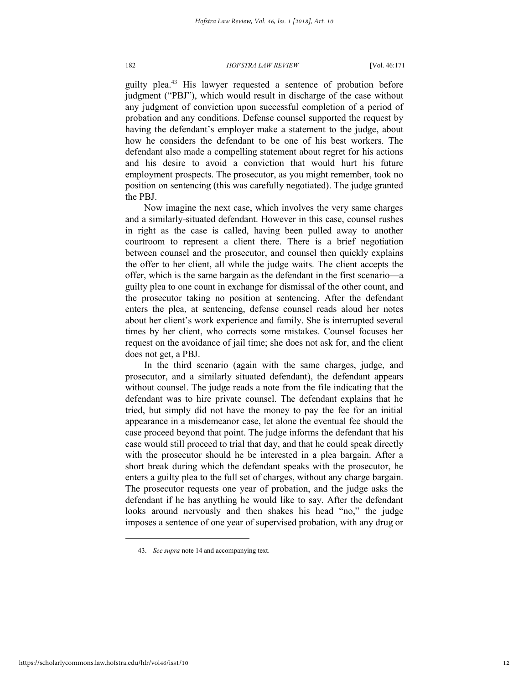guilty plea.<sup>43</sup> His lawyer requested a sentence of probation before judgment ("PBJ"), which would result in discharge of the case without any judgment of conviction upon successful completion of a period of probation and any conditions. Defense counsel supported the request by having the defendant's employer make a statement to the judge, about how he considers the defendant to be one of his best workers. The defendant also made a compelling statement about regret for his actions and his desire to avoid a conviction that would hurt his future employment prospects. The prosecutor, as you might remember, took no position on sentencing (this was carefully negotiated). The judge granted the PBJ.

Now imagine the next case, which involves the very same charges and a similarly-situated defendant. However in this case, counsel rushes in right as the case is called, having been pulled away to another courtroom to represent a client there. There is a brief negotiation between counsel and the prosecutor, and counsel then quickly explains the offer to her client, all while the judge waits. The client accepts the offer, which is the same bargain as the defendant in the first scenario—a guilty plea to one count in exchange for dismissal of the other count, and the prosecutor taking no position at sentencing. After the defendant enters the plea, at sentencing, defense counsel reads aloud her notes about her client's work experience and family. She is interrupted several times by her client, who corrects some mistakes. Counsel focuses her request on the avoidance of jail time; she does not ask for, and the client does not get, a PBJ.

In the third scenario (again with the same charges, judge, and prosecutor, and a similarly situated defendant), the defendant appears without counsel. The judge reads a note from the file indicating that the defendant was to hire private counsel. The defendant explains that he tried, but simply did not have the money to pay the fee for an initial appearance in a misdemeanor case, let alone the eventual fee should the case proceed beyond that point. The judge informs the defendant that his case would still proceed to trial that day, and that he could speak directly with the prosecutor should he be interested in a plea bargain. After a short break during which the defendant speaks with the prosecutor, he enters a guilty plea to the full set of charges, without any charge bargain. The prosecutor requests one year of probation, and the judge asks the defendant if he has anything he would like to say. After the defendant looks around nervously and then shakes his head "no," the judge imposes a sentence of one year of supervised probation, with any drug or

<sup>43.</sup> *See supra* note 14 and accompanying text.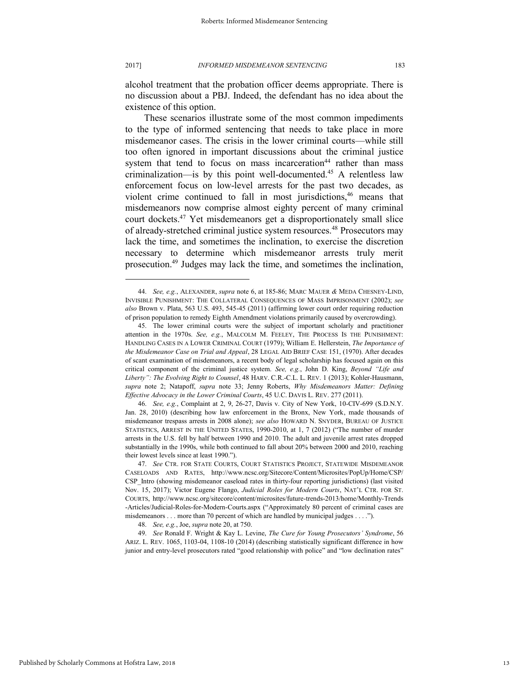alcohol treatment that the probation officer deems appropriate. There is no discussion about a PBJ. Indeed, the defendant has no idea about the existence of this option.

These scenarios illustrate some of the most common impediments to the type of informed sentencing that needs to take place in more misdemeanor cases. The crisis in the lower criminal courts—while still too often ignored in important discussions about the criminal justice system that tend to focus on mass incarceration<sup>44</sup> rather than mass criminalization—is by this point well-documented.<sup>45</sup> A relentless law enforcement focus on low-level arrests for the past two decades, as violent crime continued to fall in most jurisdictions,<sup>46</sup> means that misdemeanors now comprise almost eighty percent of many criminal court dockets.<sup>47</sup> Yet misdemeanors get a disproportionately small slice of already-stretched criminal justice system resources.<sup>48</sup> Prosecutors may lack the time, and sometimes the inclination, to exercise the discretion necessary to determine which misdemeanor arrests truly merit prosecution.<sup>49</sup> Judges may lack the time, and sometimes the inclination,

<sup>44.</sup> *See, e.g.*, ALEXANDER, *supra* note 6, at 185-86; MARC MAUER *&* MEDA CHESNEY-LIND, INVISIBLE PUNISHMENT: THE COLLATERAL CONSEQUENCES OF MASS IMPRISONMENT (2002); *see also* Brown v. Plata, 563 U.S. 493, 545-45 (2011) (affirming lower court order requiring reduction of prison population to remedy Eighth Amendment violations primarily caused by overcrowding).

<sup>45.</sup> The lower criminal courts were the subject of important scholarly and practitioner attention in the 1970s. *See, e.g.*, MALCOLM M. FEELEY, THE PROCESS IS THE PUNISHMENT: HANDLING CASES IN A LOWER CRIMINAL COURT (1979); William E. Hellerstein, *The Importance of the Misdemeanor Case on Trial and Appeal*, 28 LEGAL AID BRIEF CASE 151, (1970). After decades of scant examination of misdemeanors, a recent body of legal scholarship has focused again on this critical component of the criminal justice system. *See, e.g.*, John D. King, *Beyond "Life and Liberty": The Evolving Right to Counsel*, 48 HARV. C.R.-C.L. L. REV. 1 (2013); Kohler-Hausmann, *supra* note 2; Natapoff, *supra* note 33; Jenny Roberts, *Why Misdemeanors Matter: Defining Effective Advocacy in the Lower Criminal Courts*, 45 U.C. DAVIS L. REV. 277 (2011).

<sup>46.</sup> *See, e.g.*, Complaint at 2, 9, 26-27, Davis v. City of New York, 10-CIV-699 (S.D.N.Y. Jan. 28, 2010) (describing how law enforcement in the Bronx, New York, made thousands of misdemeanor trespass arrests in 2008 alone); *see also* HOWARD N. SNYDER, BUREAU OF JUSTICE STATISTICS, ARREST IN THE UNITED STATES, 1990-2010, at 1, 7 (2012) ("The number of murder arrests in the U.S. fell by half between 1990 and 2010. The adult and juvenile arrest rates dropped substantially in the 1990s, while both continued to fall about 20% between 2000 and 2010, reaching their lowest levels since at least 1990.").

<sup>47.</sup> *See* CTR. FOR STATE COURTS, COURT STATISTICS PROJECT, STATEWIDE MISDEMEANOR CASELOADS AND RATES, http://www.ncsc.org/Sitecore/Content/Microsites/PopUp/Home/CSP/ CSP\_Intro (showing misdemeanor caseload rates in thirty-four reporting jurisdictions) (last visited Nov. 15, 2017); Victor Eugene Flango, *Judicial Roles for Modern Courts*, NAT'L CTR. FOR ST. COURTS, http://www.ncsc.org/sitecore/content/microsites/future-trends-2013/home/Monthly-Trends -Articles/Judicial-Roles-for-Modern-Courts.aspx ("Approximately 80 percent of criminal cases are misdemeanors . . . more than 70 percent of which are handled by municipal judges . . . .").

<sup>48.</sup> *See, e.g.*, Joe, *supra* note 20, at 750.

<sup>49.</sup> *See* Ronald F. Wright & Kay L. Levine, *The Cure for Young Prosecutors' Syndrome*, 56 ARIZ. L. REV. 1065, 1103-04, 1108-10 (2014) (describing statistically significant difference in how junior and entry-level prosecutors rated "good relationship with police" and "low declination rates"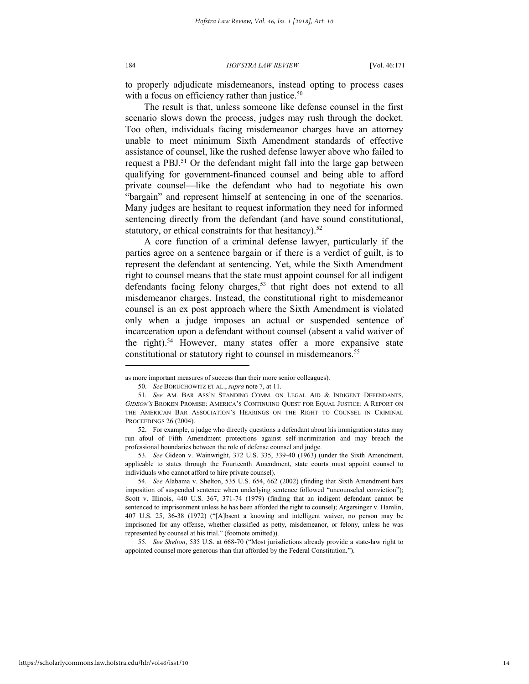#### 184 *HOFSTRA LAW REVIEW* [Vol. 46:171

to properly adjudicate misdemeanors, instead opting to process cases with a focus on efficiency rather than justice.<sup>50</sup>

The result is that, unless someone like defense counsel in the first scenario slows down the process, judges may rush through the docket. Too often, individuals facing misdemeanor charges have an attorney unable to meet minimum Sixth Amendment standards of effective assistance of counsel, like the rushed defense lawyer above who failed to request a PBJ.<sup>51</sup> Or the defendant might fall into the large gap between qualifying for government-financed counsel and being able to afford private counsel—like the defendant who had to negotiate his own "bargain" and represent himself at sentencing in one of the scenarios. Many judges are hesitant to request information they need for informed sentencing directly from the defendant (and have sound constitutional, statutory, or ethical constraints for that hesitancy).<sup>52</sup>

A core function of a criminal defense lawyer, particularly if the parties agree on a sentence bargain or if there is a verdict of guilt, is to represent the defendant at sentencing. Yet, while the Sixth Amendment right to counsel means that the state must appoint counsel for all indigent defendants facing felony charges,<sup>53</sup> that right does not extend to all misdemeanor charges. Instead, the constitutional right to misdemeanor counsel is an ex post approach where the Sixth Amendment is violated only when a judge imposes an actual or suspended sentence of incarceration upon a defendant without counsel (absent a valid waiver of the right).<sup>54</sup> However, many states offer a more expansive state constitutional or statutory right to counsel in misdemeanors.<sup>55</sup>

55. *See Shelton*, 535 U.S. at 668-70 ("Most jurisdictions already provide a state-law right to appointed counsel more generous than that afforded by the Federal Constitution.").

as more important measures of success than their more senior colleagues).

<sup>50.</sup> *See* BORUCHOWITZ ET AL., *supra* note 7, at 11.

<sup>51.</sup> *See* AM. BAR ASS'N STANDING COMM. ON LEGAL AID & INDIGENT DEFENDANTS, *GIDEON'S* BROKEN PROMISE: AMERICA'S CONTINUING QUEST FOR EQUAL JUSTICE: A REPORT ON THE AMERICAN BAR ASSOCIATION'S HEARINGS ON THE RIGHT TO COUNSEL IN CRIMINAL PROCEEDINGS 26 (2004).

<sup>52.</sup> For example, a judge who directly questions a defendant about his immigration status may run afoul of Fifth Amendment protections against self-incrimination and may breach the professional boundaries between the role of defense counsel and judge.

<sup>53.</sup> *See* Gideon v. Wainwright, 372 U.S. 335, 339-40 (1963) (under the Sixth Amendment, applicable to states through the Fourteenth Amendment, state courts must appoint counsel to individuals who cannot afford to hire private counsel).

<sup>54.</sup> *See* Alabama v. Shelton, 535 U.S. 654, 662 (2002) (finding that Sixth Amendment bars imposition of suspended sentence when underlying sentence followed "uncounseled conviction"); Scott v. Illinois, 440 U.S. 367, 371-74 (1979) (finding that an indigent defendant cannot be sentenced to imprisonment unless he has been afforded the right to counsel); Argersinger v. Hamlin, 407 U.S. 25, 36-38 (1972) ("[A]bsent a knowing and intelligent waiver, no person may be imprisoned for any offense, whether classified as petty, misdemeanor, or felony, unless he was represented by counsel at his trial." (footnote omitted)).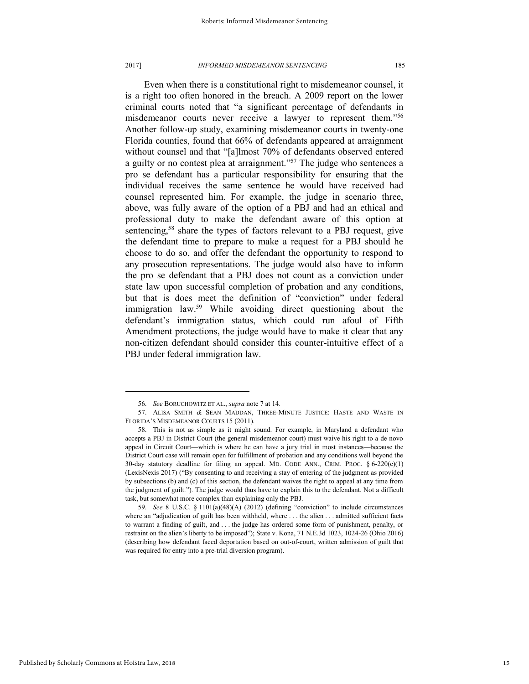#### 2017] *INFORMED MISDEMEANOR SENTENCING* 185

Even when there is a constitutional right to misdemeanor counsel, it is a right too often honored in the breach. A 2009 report on the lower criminal courts noted that "a significant percentage of defendants in misdemeanor courts never receive a lawyer to represent them." 56 Another follow-up study, examining misdemeanor courts in twenty-one Florida counties, found that 66% of defendants appeared at arraignment without counsel and that "[a]lmost 70% of defendants observed entered a guilty or no contest plea at arraignment."<sup>57</sup> The judge who sentences a pro se defendant has a particular responsibility for ensuring that the individual receives the same sentence he would have received had counsel represented him. For example, the judge in scenario three, above, was fully aware of the option of a PBJ and had an ethical and professional duty to make the defendant aware of this option at sentencing,<sup>58</sup> share the types of factors relevant to a PBJ request, give the defendant time to prepare to make a request for a PBJ should he choose to do so, and offer the defendant the opportunity to respond to any prosecution representations. The judge would also have to inform the pro se defendant that a PBJ does not count as a conviction under state law upon successful completion of probation and any conditions, but that is does meet the definition of "conviction" under federal immigration law.<sup>59</sup> While avoiding direct questioning about the defendant's immigration status, which could run afoul of Fifth Amendment protections, the judge would have to make it clear that any non-citizen defendant should consider this counter-intuitive effect of a PBJ under federal immigration law.

<sup>56.</sup> *See* BORUCHOWITZ ET AL., *supra* note 7 at 14.

<sup>57.</sup> ALISA SMITH *&* SEAN MADDAN, THREE-MINUTE JUSTICE: HASTE AND WASTE IN FLORIDA'S MISDEMEANOR COURTS 15 (2011).

<sup>58.</sup> This is not as simple as it might sound. For example, in Maryland a defendant who accepts a PBJ in District Court (the general misdemeanor court) must waive his right to a de novo appeal in Circuit Court—which is where he can have a jury trial in most instances—because the District Court case will remain open for fulfillment of probation and any conditions well beyond the 30-day statutory deadline for filing an appeal. MD. CODE ANN., CRIM. PROC.  $§ 6-220(e)(1)$ (LexisNexis 2017) ("By consenting to and receiving a stay of entering of the judgment as provided by subsections (b) and (c) of this section, the defendant waives the right to appeal at any time from the judgment of guilt."). The judge would thus have to explain this to the defendant. Not a difficult task, but somewhat more complex than explaining only the PBJ.

<sup>59.</sup> *See* 8 U.S.C. § 1101(a)(48)(A) (2012) (defining "conviction" to include circumstances where an "adjudication of guilt has been withheld, where . . . the alien . . . admitted sufficient facts to warrant a finding of guilt, and . . . the judge has ordered some form of punishment, penalty, or restraint on the alien's liberty to be imposed"); State v. Kona, 71 N.E.3d 1023, 1024-26 (Ohio 2016) (describing how defendant faced deportation based on out-of-court, written admission of guilt that was required for entry into a pre-trial diversion program).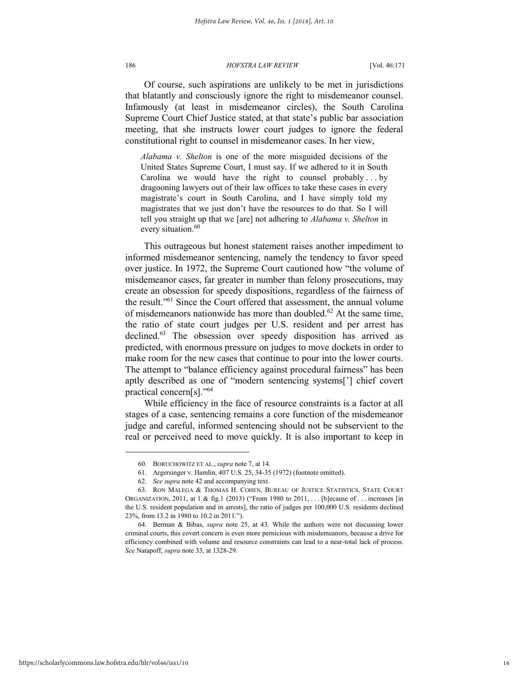Of course, such aspirations are unlikely to be met in jurisdictions that blatantly and consciously ignore the right to misdemeanor counsel. Infamously (at least in misdemeanor circles), the South Carolina Supreme Court Chief Justice stated, at that state's public bar association meeting, that she instructs lower court judges to ignore the federal constitutional right to counsel in misdemeanor cases. In her view,

*Alabama v. Shelton* is one of the more misguided decisions of the United States Supreme Court, I must say. If we adhered to it in South Carolina we would have the right to counsel probably  $\dots$  by dragooning lawyers out of their law offices to take these cases in every magistrate's court in South Carolina, and I have simply told my magistrates that we just don't have the resources to do that. So I will tell you straight up that we [are] not adhering to *Alabama v. Shelton* in every situation.<sup>60</sup>

This outrageous but honest statement raises another impediment to informed misdemeanor sentencing, namely the tendency to favor speed over justice. In 1972, the Supreme Court cautioned how "the volume of misdemeanor cases, far greater in number than felony prosecutions, may create an obsession for speedy dispositions, regardless of the fairness of the result." <sup>61</sup> Since the Court offered that assessment, the annual volume of misdemeanors nationwide has more than doubled.<sup>62</sup> At the same time, the ratio of state court judges per U.S. resident and per arrest has declined.<sup>63</sup> The obsession over speedy disposition has arrived as predicted, with enormous pressure on judges to move dockets in order to make room for the new cases that continue to pour into the lower courts. The attempt to "balance efficiency against procedural fairness" has been aptly described as one of "modern sentencing systems['] chief covert practical concern[s]." 64

While efficiency in the face of resource constraints is a factor at all stages of a case, sentencing remains a core function of the misdemeanor judge and careful, informed sentencing should not be subservient to the real or perceived need to move quickly. It is also important to keep in

<sup>60.</sup> BORUCHOWITZ ET AL., *supra* note 7, at 14.

<sup>61.</sup> Argersinger v. Hamlin, 407 U.S. 25, 34-35 (1972) (footnote omitted).

<sup>62.</sup> *See supra* note 42 and accompanying text.

<sup>63.</sup> RON MALEGA & THOMAS H. COHEN, BUREAU OF JUSTICE STATISTICS, STATE COURT ORGANIZATION, 2011, at 1 & fig.1 (2013) ("From 1980 to 2011, . . . [b]ecause of . . . increases [in the U.S. resident population and in arrests], the ratio of judges per 100,000 U.S. residents declined 23%, from 13.2 in 1980 to 10.2 in 2011.").

<sup>64.</sup> Berman & Bibas, *supra* note 25, at 43. While the authors were not discussing lower criminal courts, this covert concern is even more pernicious with misdemeanors, because a drive for efficiency combined with volume and resource constraints can lead to a near-total lack of process. *See* Natapoff, *supra* note 33, at 1328-29.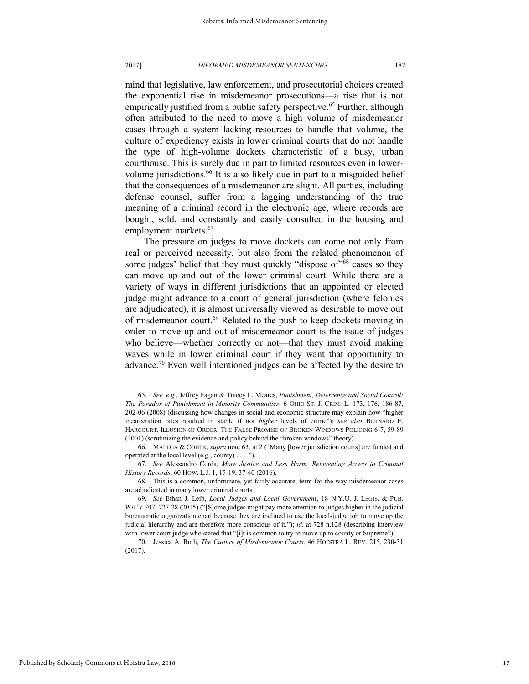mind that legislative, law enforcement, and prosecutorial choices created the exponential rise in misdemeanor prosecutions—a rise that is not empirically justified from a public safety perspective.<sup>65</sup> Further, although often attributed to the need to move a high volume of misdemeanor cases through a system lacking resources to handle that volume, the culture of expediency exists in lower criminal courts that do not handle the type of high-volume dockets characteristic of a busy, urban courthouse. This is surely due in part to limited resources even in lowervolume jurisdictions.<sup>66</sup> It is also likely due in part to a misguided belief that the consequences of a misdemeanor are slight. All parties, including defense counsel, suffer from a lagging understanding of the true meaning of a criminal record in the electronic age, where records are bought, sold, and constantly and easily consulted in the housing and employment markets.<sup>67</sup>

The pressure on judges to move dockets can come not only from real or perceived necessity, but also from the related phenomenon of some judges' belief that they must quickly "dispose of"<sup>68</sup> cases so they can move up and out of the lower criminal court. While there are a variety of ways in different jurisdictions that an appointed or elected judge might advance to a court of general jurisdiction (where felonies are adjudicated), it is almost universally viewed as desirable to move out of misdemeanor court.<sup>69</sup> Related to the push to keep dockets moving in order to move up and out of misdemeanor court is the issue of judges who believe—whether correctly or not—that they must avoid making waves while in lower criminal court if they want that opportunity to advance.<sup>70</sup> Even well intentioned judges can be affected by the desire to

<sup>65.</sup> *See, e.g.*, Jeffrey Fagan & Tracey L. Meares, *Punishment, Deterrence and Social Control: The Paradox of Punishment in Minority Communities*, 6 OHIO ST. J. CRIM. L. 173, 176, 186-87, 202-06 (2008) (discussing how changes in social and economic structure may explain how "higher incarceration rates resulted in stable if not *higher* levels of crime"); *see also* BERNARD E. HARCOURT, ILLUSION OF ORDER: THE FALSE PROMISE OF BROKEN WINDOWS POLICING 6-7, 59-89 (2001) (scrutinizing the evidence and policy behind the "broken windows" theory).

<sup>66.</sup> MALEGA & COHEN, *supra* note 63, at 2 ("Many [lower jurisdiction courts] are funded and operated at the local level (e.g., county) . . . .").

<sup>67.</sup> *See* Alessandro Corda, *More Justice and Less Harm: Reinventing Access to Criminal History Records*, 60 HOW. L.J. 1, 15-19, 37-40 (2016).

<sup>68.</sup> This is a common, unfortunate, yet fairly accurate, term for the way misdemeanor cases are adjudicated in many lower criminal courts.

<sup>69.</sup> *See* Ethan J. Leib, *Local Judges and Local Government*, 18 N.Y.U. J. LEGIS. & PUB. POL'Y 707, 727-28 (2015) ("[S]ome judges might pay more attention to judges higher in the judicial bureaucratic organization chart because they are inclined to use the local-judge job to move up the judicial hierarchy and are therefore more conscious of it."); *id.* at 728 n.128 (describing interview with lower court judge who stated that "[i]t is common to try to move up to county or Supreme").

<sup>70.</sup> Jessica A. Roth, *The Culture of Misdemeanor Courts*, 46 HOFSTRA L. REV. 215, 230-31 (2017).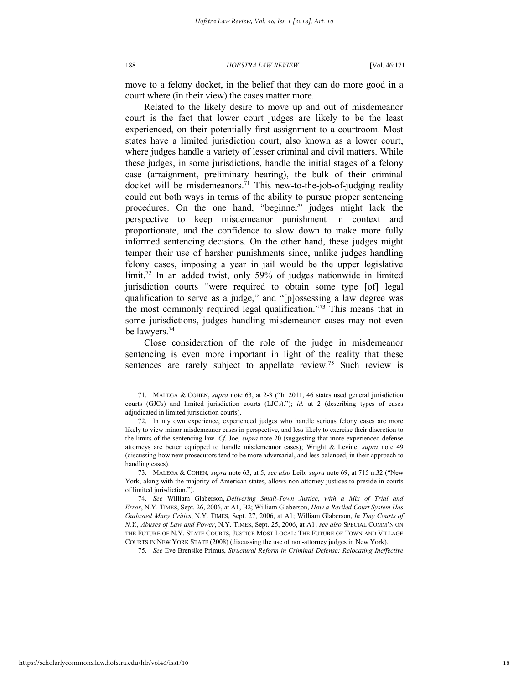move to a felony docket, in the belief that they can do more good in a court where (in their view) the cases matter more.

Related to the likely desire to move up and out of misdemeanor court is the fact that lower court judges are likely to be the least experienced, on their potentially first assignment to a courtroom. Most states have a limited jurisdiction court, also known as a lower court, where judges handle a variety of lesser criminal and civil matters. While these judges, in some jurisdictions, handle the initial stages of a felony case (arraignment, preliminary hearing), the bulk of their criminal docket will be misdemeanors.<sup>71</sup> This new-to-the-job-of-judging reality could cut both ways in terms of the ability to pursue proper sentencing procedures. On the one hand, "beginner" judges might lack the perspective to keep misdemeanor punishment in context and proportionate, and the confidence to slow down to make more fully informed sentencing decisions. On the other hand, these judges might temper their use of harsher punishments since, unlike judges handling felony cases, imposing a year in jail would be the upper legislative limit.<sup>72</sup> In an added twist, only 59% of judges nationwide in limited jurisdiction courts "were required to obtain some type [of] legal qualification to serve as a judge," and "[p]ossessing a law degree was the most commonly required legal qualification." <sup>73</sup> This means that in some jurisdictions, judges handling misdemeanor cases may not even be lawyers.<sup>74</sup>

Close consideration of the role of the judge in misdemeanor sentencing is even more important in light of the reality that these sentences are rarely subject to appellate review.<sup>75</sup> Such review is

75. *See* Eve Brensike Primus, *Structural Reform in Criminal Defense: Relocating Ineffective* 

<sup>71.</sup> MALEGA & COHEN, *supra* note 63, at 2-3 ("In 2011, 46 states used general jurisdiction courts (GJCs) and limited jurisdiction courts (LJCs)."); *id.* at 2 (describing types of cases adjudicated in limited jurisdiction courts).

<sup>72.</sup> In my own experience, experienced judges who handle serious felony cases are more likely to view minor misdemeanor cases in perspective, and less likely to exercise their discretion to the limits of the sentencing law. *Cf.* Joe, *supra* note 20 (suggesting that more experienced defense attorneys are better equipped to handle misdemeanor cases); Wright & Levine, *supra* note 49 (discussing how new prosecutors tend to be more adversarial, and less balanced, in their approach to handling cases).

<sup>73.</sup> MALEGA & COHEN, *supra* note 63, at 5; *see also* Leib, *supra* note 69, at 715 n.32 ("New York, along with the majority of American states, allows non-attorney justices to preside in courts of limited jurisdiction.").

<sup>74.</sup> *See* William Glaberson, *Delivering Small-Town Justice, with a Mix of Trial and Error*, N.Y. TIMES, Sept. 26, 2006, at A1, B2; William Glaberson, *How a Reviled Court System Has Outlasted Many Critics*, N.Y. TIMES, Sept. 27, 2006, at A1; William Glaberson, *In Tiny Courts of N.Y., Abuses of Law and Power*, N.Y. TIMES, Sept. 25, 2006, at A1; *see also* SPECIAL COMM'N ON THE FUTURE OF N.Y. STATE COURTS, JUSTICE MOST LOCAL: THE FUTURE OF TOWN AND VILLAGE COURTS IN NEW YORK STATE (2008) (discussing the use of non-attorney judges in New York).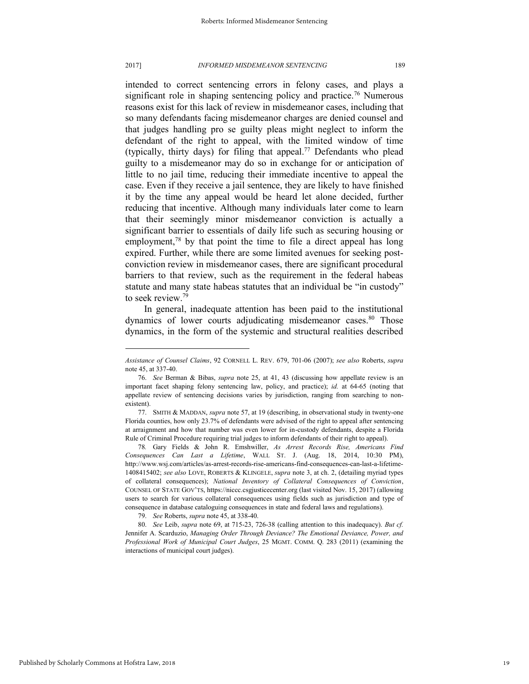intended to correct sentencing errors in felony cases, and plays a significant role in shaping sentencing policy and practice.<sup>76</sup> Numerous reasons exist for this lack of review in misdemeanor cases, including that so many defendants facing misdemeanor charges are denied counsel and that judges handling pro se guilty pleas might neglect to inform the defendant of the right to appeal, with the limited window of time (typically, thirty days) for filing that appeal.<sup>77</sup> Defendants who plead guilty to a misdemeanor may do so in exchange for or anticipation of little to no jail time, reducing their immediate incentive to appeal the case. Even if they receive a jail sentence, they are likely to have finished it by the time any appeal would be heard let alone decided, further reducing that incentive. Although many individuals later come to learn that their seemingly minor misdemeanor conviction is actually a significant barrier to essentials of daily life such as securing housing or employment, $78$  by that point the time to file a direct appeal has long expired. Further, while there are some limited avenues for seeking postconviction review in misdemeanor cases, there are significant procedural barriers to that review, such as the requirement in the federal habeas statute and many state habeas statutes that an individual be "in custody" to seek review.<sup>79</sup>

In general, inadequate attention has been paid to the institutional dynamics of lower courts adjudicating misdemeanor cases.<sup>80</sup> Those dynamics, in the form of the systemic and structural realities described

*Assistance of Counsel Claims*, 92 CORNELL L. REV. 679, 701-06 (2007); *see also* Roberts, *supra*  note 45, at 337-40.

<sup>76.</sup> *See* Berman & Bibas, *supra* note 25, at 41, 43 (discussing how appellate review is an important facet shaping felony sentencing law, policy, and practice); *id.* at 64-65 (noting that appellate review of sentencing decisions varies by jurisdiction, ranging from searching to nonexistent).

<sup>77.</sup> SMITH & MADDAN, *supra* note 57, at 19 (describing, in observational study in twenty-one Florida counties, how only 23.7% of defendants were advised of the right to appeal after sentencing at arraignment and how that number was even lower for in-custody defendants, despite a Florida Rule of Criminal Procedure requiring trial judges to inform defendants of their right to appeal).

<sup>78</sup>*.* Gary Fields & John R. Emshwiller, *As Arrest Records Rise, Americans Find Consequences Can Last a Lifetime*, WALL ST. J. (Aug. 18, 2014, 10:30 PM), http://www.wsj.com/articles/as-arrest-records-rise-americans-find-consequences-can-last-a-lifetime-1408415402; *see also* LOVE, ROBERTS & KLINGELE, *supra* note 3, at ch. 2, (detailing myriad types of collateral consequences); *National Inventory of Collateral Consequences of Conviction*, COUNSEL OF STATE GOV'TS, https://niccc.csgjusticecenter.org (last visited Nov. 15, 2017) (allowing users to search for various collateral consequences using fields such as jurisdiction and type of consequence in database cataloguing consequences in state and federal laws and regulations).

<sup>79.</sup> *See* Roberts, *supra* note 45, at 338-40.

<sup>80.</sup> *See* Leib, *supra* note 69, at 715-23, 726-38 (calling attention to this inadequacy). *But cf.* Jennifer A. Scarduzio, *Managing Order Through Deviance? The Emotional Deviance, Power, and Professional Work of Municipal Court Judges*, 25 MGMT. COMM. Q. 283 (2011) (examining the interactions of municipal court judges).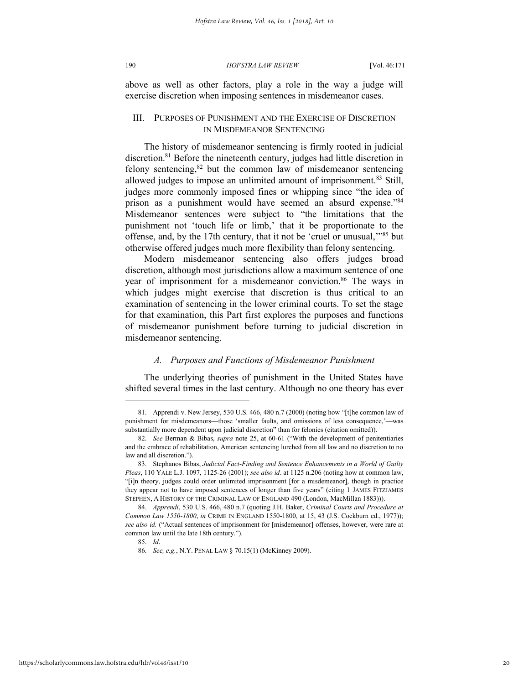above as well as other factors, play a role in the way a judge will exercise discretion when imposing sentences in misdemeanor cases.

### III. PURPOSES OF PUNISHMENT AND THE EXERCISE OF DISCRETION IN MISDEMEANOR SENTENCING

The history of misdemeanor sentencing is firmly rooted in judicial discretion.<sup>81</sup> Before the nineteenth century, judges had little discretion in felony sentencing,<sup>82</sup> but the common law of misdemeanor sentencing allowed judges to impose an unlimited amount of imprisonment.<sup>83</sup> Still, judges more commonly imposed fines or whipping since "the idea of prison as a punishment would have seemed an absurd expense."<sup>84</sup> Misdemeanor sentences were subject to "the limitations that the punishment not 'touch life or limb,' that it be proportionate to the offense, and, by the 17th century, that it not be 'cruel or unusual,'" <sup>85</sup> but otherwise offered judges much more flexibility than felony sentencing.

Modern misdemeanor sentencing also offers judges broad discretion, although most jurisdictions allow a maximum sentence of one year of imprisonment for a misdemeanor conviction.<sup>86</sup> The ways in which judges might exercise that discretion is thus critical to an examination of sentencing in the lower criminal courts. To set the stage for that examination, this Part first explores the purposes and functions of misdemeanor punishment before turning to judicial discretion in misdemeanor sentencing.

### *A. Purposes and Functions of Misdemeanor Punishment*

The underlying theories of punishment in the United States have shifted several times in the last century. Although no one theory has ever

<sup>81.</sup> Apprendi v. New Jersey, 530 U.S. 466, 480 n.7 (2000) (noting how "[t]he common law of punishment for misdemeanors—those 'smaller faults, and omissions of less consequence,'substantially more dependent upon judicial discretion" than for felonies (citation omitted)).

<sup>82.</sup> *See* Berman & Bibas, *supra* note 25, at 60-61 ("With the development of penitentiaries and the embrace of rehabilitation, American sentencing lurched from all law and no discretion to no law and all discretion.").

<sup>83.</sup> Stephanos Bibas, *Judicial Fact-Finding and Sentence Enhancements in a World of Guilty Pleas*, 110 YALE L.J. 1097, 1125-26 (2001); *see also id*. at 1125 n.206 (noting how at common law, "[i]n theory, judges could order unlimited imprisonment [for a misdemeanor], though in practice they appear not to have imposed sentences of longer than five years" (citing 1 JAMES FITZJAMES STEPHEN, A HISTORY OF THE CRIMINAL LAW OF ENGLAND 490 (London, MacMillan 1883))).

<sup>84.</sup> *Apprendi*, 530 U.S. 466, 480 n.7 (quoting J.H. Baker, *Criminal Courts and Procedure at Common Law 1550-1800*, *in* CRIME IN ENGLAND 1550-1800, at 15, 43 (J.S. Cockburn ed., 1977)); see also id. ("Actual sentences of imprisonment for [misdemeanor] offenses, however, were rare at common law until the late 18th century.").

<sup>85.</sup> *Id*.

<sup>86.</sup> *See, e.g.*, N.Y. PENAL LAW § 70.15(1) (McKinney 2009).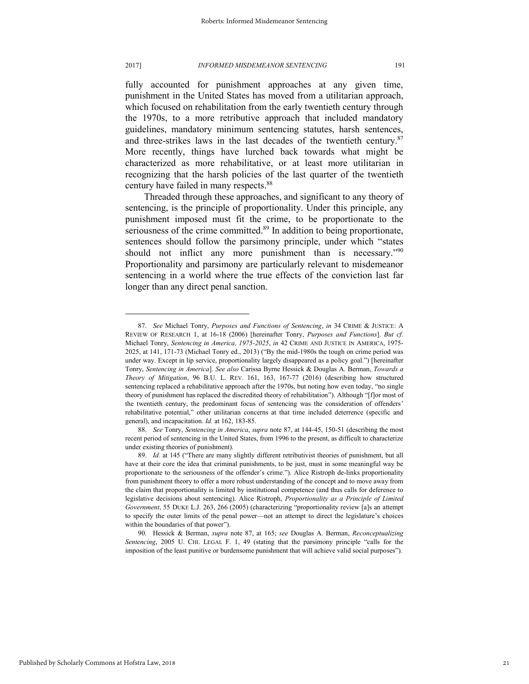#### 2017] *INFORMED MISDEMEANOR SENTENCING* 191

fully accounted for punishment approaches at any given time, punishment in the United States has moved from a utilitarian approach, which focused on rehabilitation from the early twentieth century through the 1970s, to a more retributive approach that included mandatory guidelines, mandatory minimum sentencing statutes, harsh sentences, and three-strikes laws in the last decades of the twentieth century. $87$ More recently, things have lurched back towards what might be characterized as more rehabilitative, or at least more utilitarian in recognizing that the harsh policies of the last quarter of the twentieth century have failed in many respects.<sup>88</sup>

Threaded through these approaches, and significant to any theory of sentencing, is the principle of proportionality. Under this principle, any punishment imposed must fit the crime, to be proportionate to the seriousness of the crime committed.<sup>89</sup> In addition to being proportionate, sentences should follow the parsimony principle, under which "states should not inflict any more punishment than is necessary."<sup>90</sup> Proportionality and parsimony are particularly relevant to misdemeanor sentencing in a world where the true effects of the conviction last far longer than any direct penal sanction.

<sup>87.</sup> *See* Michael Tonry, *Purposes and Functions of Sentencing*, *in* 34 CRIME & JUSTICE: A REVIEW OF RESEARCH 1, at 16-18 (2006) [hereinafter Tonry, *Purposes and Functions*]. *But cf.*  Michael Tonry, *Sentencing in America, 1975-2025*, *in* 42 CRIME AND JUSTICE IN AMERICA, 1975- 2025, at 141, 171-73 (Michael Tonry ed., 2013) ("By the mid-1980s the tough on crime period was under way. Except in lip service, proportionality largely disappeared as a policy goal.") [hereinafter Tonry, *Sentencing in America*]. *See also* Carissa Byrne Hessick & Douglas A. Berman, *Towards a Theory of Mitigation*, 96 B.U. L. REV. 161, 163, 167-77 (2016) (describing how structured sentencing replaced a rehabilitative approach after the 1970s, but noting how even today, "no single theory of punishment has replaced the discredited theory of rehabilitation"). Although "[f]or most of the twentieth century, the predominant focus of sentencing was the consideration of offenders' rehabilitative potential," other utilitarian concerns at that time included deterrence (specific and general), and incapacitation. *Id.* at 162, 183-85.

<sup>88.</sup> *See* Tonry, *Sentencing in America*, *supra* note 87, at 144-45, 150-51 (describing the most recent period of sentencing in the United States, from 1996 to the present, as difficult to characterize under existing theories of punishment).

<sup>89.</sup> *Id.* at 145 ("There are many slightly different retributivist theories of punishment, but all have at their core the idea that criminal punishments, to be just, must in some meaningful way be proportionate to the seriousness of the offender's crime."). Alice Ristroph de-links proportionality from punishment theory to offer a more robust understanding of the concept and to move away from the claim that proportionality is limited by institutional competence (and thus calls for deference to legislative decisions about sentencing). Alice Ristroph, *Proportionality as a Principle of Limited Government*, 55 DUKE L.J. 263, 266 (2005) (characterizing "proportionality review [a]s an attempt to specify the outer limits of the penal power—not an attempt to direct the legislature's choices within the boundaries of that power").

<sup>90.</sup> Hessick & Berman, *supra* note 87, at 165; *see* Douglas A. Berman, *Reconceptualizing Sentencing*, 2005 U. CHI. LEGAL F. 1, 49 (stating that the parsimony principle "calls for the imposition of the least punitive or burdensome punishment that will achieve valid social purposes").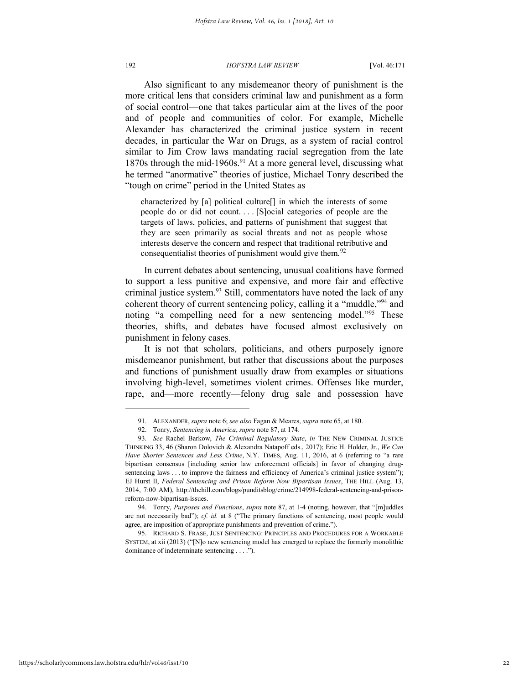Also significant to any misdemeanor theory of punishment is the more critical lens that considers criminal law and punishment as a form of social control—one that takes particular aim at the lives of the poor and of people and communities of color. For example, Michelle Alexander has characterized the criminal justice system in recent decades, in particular the War on Drugs, as a system of racial control similar to Jim Crow laws mandating racial segregation from the late 1870s through the mid-1960s.<sup>91</sup> At a more general level, discussing what he termed "anormative" theories of justice, Michael Tonry described the "tough on crime" period in the United States as

characterized by [a] political culture[] in which the interests of some people do or did not count. . . . [S]ocial categories of people are the targets of laws, policies, and patterns of punishment that suggest that they are seen primarily as social threats and not as people whose interests deserve the concern and respect that traditional retributive and consequentialist theories of punishment would give them. $92$ 

In current debates about sentencing, unusual coalitions have formed to support a less punitive and expensive, and more fair and effective criminal justice system.<sup>93</sup> Still, commentators have noted the lack of any coherent theory of current sentencing policy, calling it a "muddle,"<sup>94</sup> and noting "a compelling need for a new sentencing model."<sup>95</sup> These theories, shifts, and debates have focused almost exclusively on punishment in felony cases.

It is not that scholars, politicians, and others purposely ignore misdemeanor punishment, but rather that discussions about the purposes and functions of punishment usually draw from examples or situations involving high-level, sometimes violent crimes. Offenses like murder, rape, and—more recently—felony drug sale and possession have

94. Tonry, *Purposes and Functions*, *supra* note 87, at 1-4 (noting, however, that "[m]uddles are not necessarily bad"); *cf. id.* at 8 ("The primary functions of sentencing, most people would agree, are imposition of appropriate punishments and prevention of crime.").

95. RICHARD S. FRASE, JUST SENTENCING: PRINCIPLES AND PROCEDURES FOR A WORKABLE SYSTEM, at xii (2013) ("[N]o new sentencing model has emerged to replace the formerly monolithic dominance of indeterminate sentencing . . . .").

<sup>91.</sup> ALEXANDER, *supra* note 6; *see also* Fagan & Meares, *supra* note 65, at 180.

<sup>92.</sup> Tonry, *Sentencing in America*, *supra* note 87, at 174.

<sup>93.</sup> *See* Rachel Barkow, *The Criminal Regulatory State*, *in* THE NEW CRIMINAL JUSTICE THINKING 33, 46 (Sharon Dolovich & Alexandra Natapoff eds., 2017); Eric H. Holder, Jr., *We Can Have Shorter Sentences and Less Crime*, N.Y. TIMES, Aug. 11, 2016, at 6 (referring to "a rare bipartisan consensus [including senior law enforcement officials] in favor of changing drugsentencing laws . . . to improve the fairness and efficiency of America's criminal justice system"); EJ Hurst II, *Federal Sentencing and Prison Reform Now Bipartisan Issues*, THE HILL (Aug. 13, 2014, 7:00 AM), http://thehill.com/blogs/punditsblog/crime/214998-federal-sentencing-and-prisonreform-now-bipartisan-issues.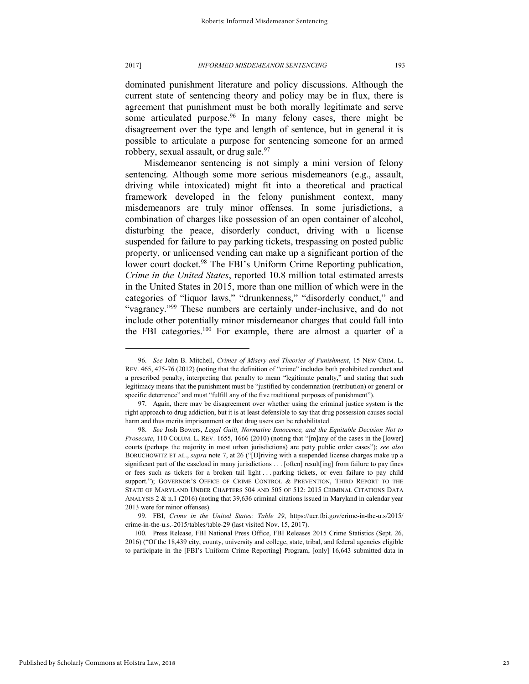dominated punishment literature and policy discussions. Although the current state of sentencing theory and policy may be in flux, there is agreement that punishment must be both morally legitimate and serve some articulated purpose.<sup>96</sup> In many felony cases, there might be disagreement over the type and length of sentence, but in general it is possible to articulate a purpose for sentencing someone for an armed

robbery, sexual assault, or drug sale.<sup>97</sup> Misdemeanor sentencing is not simply a mini version of felony sentencing. Although some more serious misdemeanors (e.g., assault, driving while intoxicated) might fit into a theoretical and practical framework developed in the felony punishment context, many misdemeanors are truly minor offenses. In some jurisdictions, a combination of charges like possession of an open container of alcohol, disturbing the peace, disorderly conduct, driving with a license suspended for failure to pay parking tickets, trespassing on posted public property, or unlicensed vending can make up a significant portion of the lower court docket.<sup>98</sup> The FBI's Uniform Crime Reporting publication, *Crime in the United States*, reported 10.8 million total estimated arrests in the United States in 2015, more than one million of which were in the categories of "liquor laws," "drunkenness," "disorderly conduct," and "vagrancy."<sup>99</sup> These numbers are certainly under-inclusive, and do not include other potentially minor misdemeanor charges that could fall into the FBI categories.<sup>100</sup> For example, there are almost a quarter of a

<sup>96.</sup> *See* John B. Mitchell, *Crimes of Misery and Theories of Punishment*, 15 NEW CRIM. L. REV. 465, 475-76 (2012) (noting that the definition of "crime" includes both prohibited conduct and a prescribed penalty, interpreting that penalty to mean "legitimate penalty," and stating that such legitimacy means that the punishment must be "justified by condemnation (retribution) or general or specific deterrence" and must "fulfill any of the five traditional purposes of punishment").

<sup>97.</sup> Again, there may be disagreement over whether using the criminal justice system is the right approach to drug addiction, but it is at least defensible to say that drug possession causes social harm and thus merits imprisonment or that drug users can be rehabilitated.

<sup>98.</sup> *See* Josh Bowers, *Legal Guilt, Normative Innocence, and the Equitable Decision Not to Prosecute*, 110 COLUM. L. REV. 1655, 1666 (2010) (noting that "[m]any of the cases in the [lower] courts (perhaps the majority in most urban jurisdictions) are petty public order cases"); *see also*  BORUCHOWITZ ET AL., *supra* note 7, at 26 ("[D]riving with a suspended license charges make up a significant part of the caseload in many jurisdictions . . . [often] result[ing] from failure to pay fines or fees such as tickets for a broken tail light . . . parking tickets, or even failure to pay child support."); GOVERNOR'S OFFICE OF CRIME CONTROL & PREVENTION, THIRD REPORT TO THE STATE OF MARYLAND UNDER CHAPTERS 504 AND 505 OF 512: 2015 CRIMINAL CITATIONS DATA ANALYSIS 2 & n.1 (2016) (noting that 39,636 criminal citations issued in Maryland in calendar year 2013 were for minor offenses).

<sup>99.</sup> FBI, *Crime in the United States: Table 29*, https://ucr.fbi.gov/crime-in-the-u.s/2015/ crime-in-the-u.s.-2015/tables/table-29 (last visited Nov. 15, 2017).

<sup>100.</sup> Press Release, FBI National Press Office, FBI Releases 2015 Crime Statistics (Sept. 26, 2016) ("Of the 18,439 city, county, university and college, state, tribal, and federal agencies eligible to participate in the [FBI's Uniform Crime Reporting] Program, [only] 16,643 submitted data in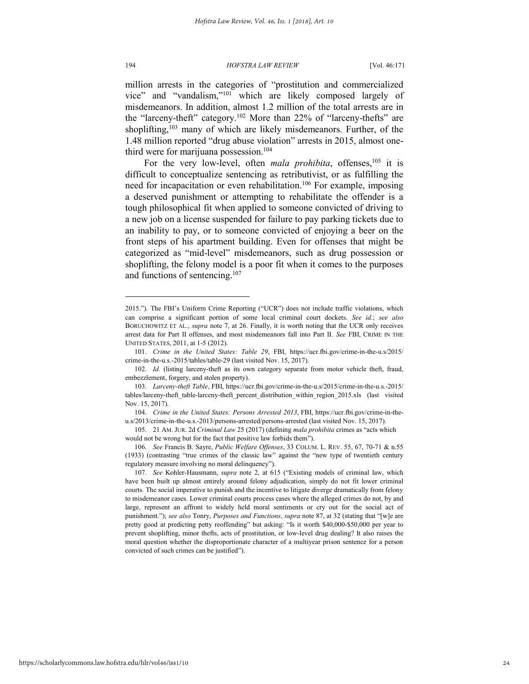194 *HOFSTRA LAW REVIEW* [Vol. 46:171

million arrests in the categories of "prostitution and commercialized vice" and "vandalism," <sup>101</sup> which are likely composed largely of misdemeanors. In addition, almost 1.2 million of the total arrests are in the "larceny-theft" category.<sup>102</sup> More than 22% of "larceny-thefts" are shoplifting,<sup>103</sup> many of which are likely misdemeanors. Further, of the 1.48 million reported "drug abuse violation" arrests in 2015, almost onethird were for marijuana possession.<sup>104</sup>

For the very low-level, often *mala prohibita*, offenses,<sup>105</sup> it is difficult to conceptualize sentencing as retributivist, or as fulfilling the need for incapacitation or even rehabilitation.<sup>106</sup> For example, imposing a deserved punishment or attempting to rehabilitate the offender is a tough philosophical fit when applied to someone convicted of driving to a new job on a license suspended for failure to pay parking tickets due to an inability to pay, or to someone convicted of enjoying a beer on the front steps of his apartment building. Even for offenses that might be categorized as "mid-level" misdemeanors, such as drug possession or shoplifting, the felony model is a poor fit when it comes to the purposes and functions of sentencing.<sup>107</sup>

<sup>2015.</sup>"). The FBI's Uniform Crime Reporting ("UCR") does not include traffic violations, which can comprise a significant portion of some local criminal court dockets. *See id.*; *see also* BORUCHOWITZ ET AL., *supra* note 7, at 26. Finally, it is worth noting that the UCR only receives arrest data for Part II offenses, and most misdemeanors fall into Part II. *See* FBI, CRIME IN THE UNITED STATES, 2011, at 1-5 (2012).

<sup>101.</sup> *Crime in the United States: Table 29*, FBI, https://ucr.fbi.gov/crime-in-the-u.s/2015/ crime-in-the-u.s.-2015/tables/table-29 (last visited Nov. 15, 2017).

<sup>102.</sup> *Id.* (listing larceny-theft as its own category separate from motor vehicle theft, fraud, embezzlement, forgery, and stolen property).

<sup>103.</sup> *Larceny-theft Table*, FBI, https://ucr.fbi.gov/crime-in-the-u.s/2015/crime-in-the-u.s.-2015/ tables/larceny-theft\_table-larceny-theft\_percent\_distribution\_within\_region\_2015.xls (last visited Nov. 15, 2017).

<sup>104.</sup> *Crime in the United States: Persons Arrested 2013*, FBI, https://ucr.fbi.gov/crime-in-theu.s/2013/crime-in-the-u.s.-2013/persons-arrested/persons-arrested (last visited Nov. 15, 2017).

<sup>105. 21</sup> AM. JUR. 2d *Criminal Law* 25 (2017) (defining *mala prohibita* crimes as "acts which would not be wrong but for the fact that positive law forbids them").

<sup>106.</sup> *See* Francis B. Sayre, *Public Welfare Offenses*, 33 COLUM. L. REV. 55, 67, 70-71 & n.55 (1933) (contrasting "true crimes of the classic law" against the "new type of twentieth century regulatory measure involving no moral delinquency").

<sup>107.</sup> *See* Kohler-Hausmann, *supra* note 2, at 615 ("Existing models of criminal law, which have been built up almost entirely around felony adjudication, simply do not fit lower criminal courts. The social imperative to punish and the incentive to litigate diverge dramatically from felony to misdemeanor cases. Lower criminal courts process cases where the alleged crimes do not, by and large, represent an affront to widely held moral sentiments or cry out for the social act of punishment."); *see also* Tonry, *Purposes and Functions*, *supra* note 87, at 32 (stating that "[w]e are pretty good at predicting petty reoffending" but asking: "Is it worth \$40,000-\$50,000 per year to prevent shoplifting, minor thefts, acts of prostitution, or low-level drug dealing? It also raises the moral question whether the disproportionate character of a multiyear prison sentence for a person convicted of such crimes can be justified").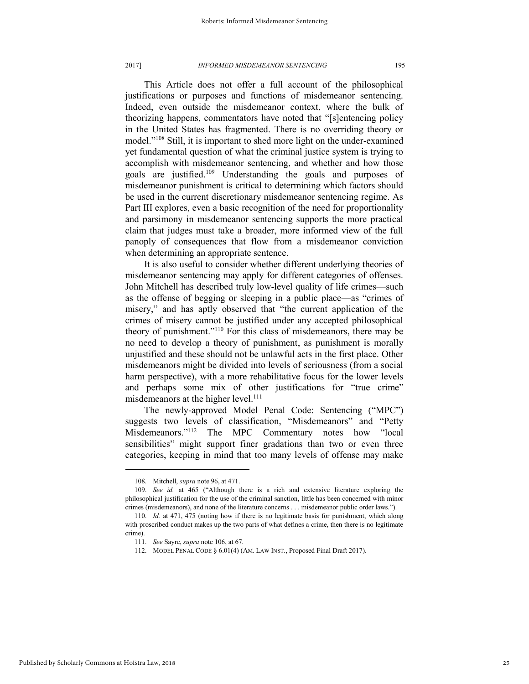This Article does not offer a full account of the philosophical justifications or purposes and functions of misdemeanor sentencing. Indeed, even outside the misdemeanor context, where the bulk of theorizing happens, commentators have noted that "[s]entencing policy in the United States has fragmented. There is no overriding theory or model." <sup>108</sup> Still, it is important to shed more light on the under-examined yet fundamental question of what the criminal justice system is trying to accomplish with misdemeanor sentencing, and whether and how those goals are justified.<sup>109</sup> Understanding the goals and purposes of misdemeanor punishment is critical to determining which factors should be used in the current discretionary misdemeanor sentencing regime. As Part III explores, even a basic recognition of the need for proportionality and parsimony in misdemeanor sentencing supports the more practical claim that judges must take a broader, more informed view of the full panoply of consequences that flow from a misdemeanor conviction when determining an appropriate sentence.

It is also useful to consider whether different underlying theories of misdemeanor sentencing may apply for different categories of offenses. John Mitchell has described truly low-level quality of life crimes—such as the offense of begging or sleeping in a public place—as "crimes of misery," and has aptly observed that "the current application of the crimes of misery cannot be justified under any accepted philosophical theory of punishment." <sup>110</sup> For this class of misdemeanors, there may be no need to develop a theory of punishment, as punishment is morally unjustified and these should not be unlawful acts in the first place. Other misdemeanors might be divided into levels of seriousness (from a social harm perspective), with a more rehabilitative focus for the lower levels and perhaps some mix of other justifications for "true crime" misdemeanors at the higher level.<sup>111</sup>

The newly-approved Model Penal Code: Sentencing ("MPC") suggests two levels of classification, "Misdemeanors" and "Petty Misdemeanors."<sup>112</sup> The MPC Commentary notes how "local sensibilities" might support finer gradations than two or even three categories, keeping in mind that too many levels of offense may make

<sup>108.</sup> Mitchell, *supra* note 96, at 471.

<sup>109.</sup> *See id.* at 465 ("Although there is a rich and extensive literature exploring the philosophical justification for the use of the criminal sanction, little has been concerned with minor crimes (misdemeanors), and none of the literature concerns . . . misdemeanor public order laws.").

<sup>110.</sup> *Id.* at 471, 475 (noting how if there is no legitimate basis for punishment, which along with proscribed conduct makes up the two parts of what defines a crime, then there is no legitimate crime).

<sup>111.</sup> *See* Sayre, *supra* note 106, at 67*.*

<sup>112.</sup> MODEL PENAL CODE § 6.01(4) (AM. LAW INST., Proposed Final Draft 2017).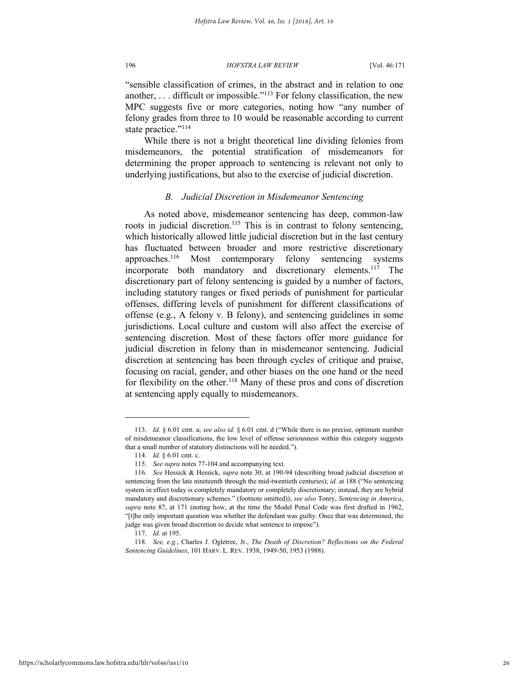"sensible classification of crimes, in the abstract and in relation to one another, . . . difficult or impossible." <sup>113</sup> For felony classification, the new MPC suggests five or more categories, noting how "any number of felony grades from three to 10 would be reasonable according to current state practice." 114

While there is not a bright theoretical line dividing felonies from misdemeanors, the potential stratification of misdemeanors for determining the proper approach to sentencing is relevant not only to underlying justifications, but also to the exercise of judicial discretion.

### *B. Judicial Discretion in Misdemeanor Sentencing*

As noted above, misdemeanor sentencing has deep, common-law roots in judicial discretion.<sup>115</sup> This is in contrast to felony sentencing, which historically allowed little judicial discretion but in the last century has fluctuated between broader and more restrictive discretionary approaches.<sup>116</sup> Most contemporary felony sentencing systems incorporate both mandatory and discretionary elements.<sup>117</sup> The discretionary part of felony sentencing is guided by a number of factors, including statutory ranges or fixed periods of punishment for particular offenses, differing levels of punishment for different classifications of offense (e.g., A felony v. B felony), and sentencing guidelines in some jurisdictions. Local culture and custom will also affect the exercise of sentencing discretion. Most of these factors offer more guidance for judicial discretion in felony than in misdemeanor sentencing. Judicial discretion at sentencing has been through cycles of critique and praise, focusing on racial, gender, and other biases on the one hand or the need for flexibility on the other.<sup>118</sup> Many of these pros and cons of discretion at sentencing apply equally to misdemeanors.

<sup>113.</sup> *Id.* § 6.01 cmt. a; *see also id.* § 6.01 cmt. d ("While there is no precise, optimum number of misdemeanor classifications, the low level of offense seriousness within this category suggests that a small number of statutory distinctions will be needed.").

<sup>114.</sup> *Id.* § 6.01 cmt. c.

<sup>115.</sup> *See supra* notes 77-104 and accompanying text.

<sup>116.</sup> *See* Hessick & Hessick, *supra* note 30, at 190-94 (describing broad judicial discretion at sentencing from the late nineteenth through the mid-twentieth centuries); *id.* at 188 ("No sentencing system in effect today is completely mandatory or completely discretionary; instead, they are hybrid mandatory and discretionary schemes." (footnote omitted)); *see also* Tonry, *Sentencing in America*, *supra* note 87, at 171 (noting how, at the time the Model Penal Code was first drafted in 1962, "[t]he only important question was whether the defendant was guilty. Once that was determined, the judge was given broad discretion to decide what sentence to impose").

<sup>117.</sup> *Id.* at 195.

<sup>118.</sup> *See, e.g.*, Charles J. Ogletree, Jr., *The Death of Discretion? Reflections on the Federal Sentencing Guidelines*, 101 HARV. L. REV. 1938, 1949-50, 1953 (1988).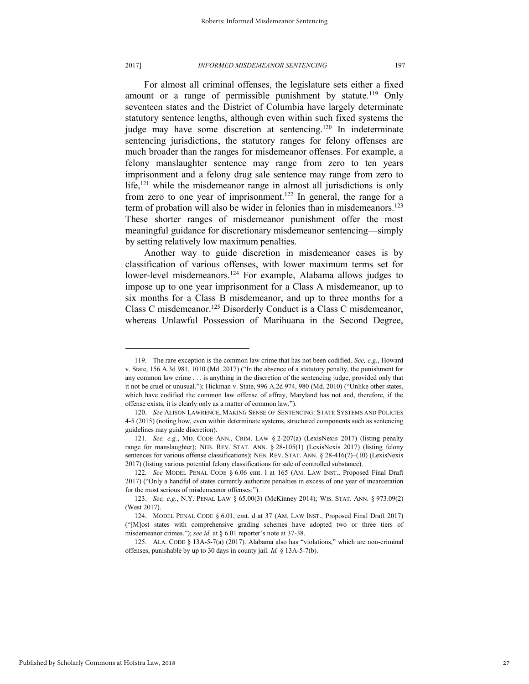For almost all criminal offenses, the legislature sets either a fixed amount or a range of permissible punishment by statute.<sup>119</sup> Only seventeen states and the District of Columbia have largely determinate statutory sentence lengths, although even within such fixed systems the judge may have some discretion at sentencing.<sup>120</sup> In indeterminate sentencing jurisdictions, the statutory ranges for felony offenses are much broader than the ranges for misdemeanor offenses. For example, a felony manslaughter sentence may range from zero to ten years imprisonment and a felony drug sale sentence may range from zero to life, $121$  while the misdemeanor range in almost all jurisdictions is only from zero to one year of imprisonment.<sup>122</sup> In general, the range for a term of probation will also be wider in felonies than in misdemeanors.<sup>123</sup> These shorter ranges of misdemeanor punishment offer the most meaningful guidance for discretionary misdemeanor sentencing—simply by setting relatively low maximum penalties.

Another way to guide discretion in misdemeanor cases is by classification of various offenses, with lower maximum terms set for lower-level misdemeanors.<sup>124</sup> For example, Alabama allows judges to impose up to one year imprisonment for a Class A misdemeanor, up to six months for a Class B misdemeanor, and up to three months for a Class C misdemeanor.<sup>125</sup> Disorderly Conduct is a Class C misdemeanor, whereas Unlawful Possession of Marihuana in the Second Degree,

<sup>119.</sup> The rare exception is the common law crime that has not been codified. *See, e.g.*, Howard v. State, 156 A.3d 981, 1010 (Md. 2017) ("In the absence of a statutory penalty, the punishment for any common law crime . . . is anything in the discretion of the sentencing judge, provided only that it not be cruel or unusual."); Hickman v. State, 996 A.2d 974, 980 (Md. 2010) ("Unlike other states, which have codified the common law offense of affray, Maryland has not and, therefore, if the offense exists, it is clearly only as a matter of common law.").

<sup>120.</sup> *See* ALISON LAWRENCE, MAKING SENSE OF SENTENCING: STATE SYSTEMS AND POLICIES 4-5 (2015) (noting how, even within determinate systems, structured components such as sentencing guidelines may guide discretion).

<sup>121.</sup> *See, e.g.*, MD. CODE ANN., CRIM. LAW § 2-207(a) (LexisNexis 2017) (listing penalty range for manslaughter); NEB. REV. STAT. ANN. § 28-105(1) (LexisNexis 2017) (listing felony sentences for various offense classifications); NEB. REV. STAT. ANN. § 28-416(7)-(10) (LexisNexis 2017) (listing various potential felony classifications for sale of controlled substance).

<sup>122.</sup> *See* MODEL PENAL CODE § 6.06 cmt. l at 165 (AM. LAW INST., Proposed Final Draft 2017) ("Only a handful of states currently authorize penalties in excess of one year of incarceration for the most serious of misdemeanor offenses.").

<sup>123.</sup> *See, e.g.*, N.Y. PENAL LAW § 65.00(3) (McKinney 2014); WIS. STAT. ANN. § 973.09(2) (West 2017).

<sup>124.</sup> MODEL PENAL CODE § 6.01, cmt. d at 37 (AM. LAW INST., Proposed Final Draft 2017) ("[M]ost states with comprehensive grading schemes have adopted two or three tiers of misdemeanor crimes."); *see id.* at § 6.01 reporter's note at 37-38.

<sup>125.</sup> ALA. CODE § 13A-5-7(a) (2017). Alabama also has "violations," which are non-criminal offenses, punishable by up to 30 days in county jail. *Id.* § 13A-5-7(b).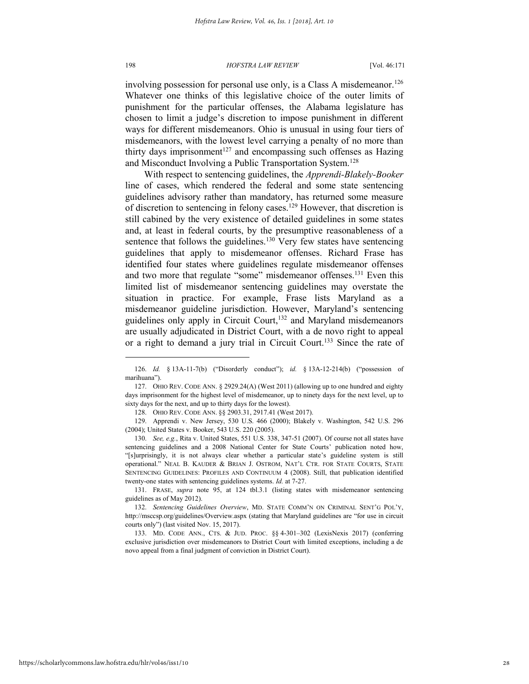involving possession for personal use only, is a Class A misdemeanor.<sup>126</sup> Whatever one thinks of this legislative choice of the outer limits of punishment for the particular offenses, the Alabama legislature has chosen to limit a judge's discretion to impose punishment in different ways for different misdemeanors. Ohio is unusual in using four tiers of misdemeanors, with the lowest level carrying a penalty of no more than thirty days imprisonment<sup>127</sup> and encompassing such offenses as Hazing and Misconduct Involving a Public Transportation System.<sup>128</sup>

With respect to sentencing guidelines, the *Apprendi-Blakely-Booker*  line of cases, which rendered the federal and some state sentencing guidelines advisory rather than mandatory, has returned some measure of discretion to sentencing in felony cases.<sup>129</sup> However, that discretion is still cabined by the very existence of detailed guidelines in some states and, at least in federal courts, by the presumptive reasonableness of a sentence that follows the guidelines.<sup>130</sup> Very few states have sentencing guidelines that apply to misdemeanor offenses. Richard Frase has identified four states where guidelines regulate misdemeanor offenses and two more that regulate "some" misdemeanor offenses.<sup>131</sup> Even this limited list of misdemeanor sentencing guidelines may overstate the situation in practice. For example, Frase lists Maryland as a misdemeanor guideline jurisdiction. However, Maryland's sentencing guidelines only apply in Circuit Court, $132$  and Maryland misdemeanors are usually adjudicated in District Court, with a de novo right to appeal or a right to demand a jury trial in Circuit Court.<sup>133</sup> Since the rate of

<sup>126.</sup> *Id.* § 13A-11-7(b) ("Disorderly conduct"); *id.* § 13A-12-214(b) ("possession of marihuana").

<sup>127.</sup> OHIO REV. CODE ANN. § 2929.24(A) (West 2011) (allowing up to one hundred and eighty days imprisonment for the highest level of misdemeanor, up to ninety days for the next level, up to sixty days for the next, and up to thirty days for the lowest).

<sup>128.</sup> OHIO REV. CODE ANN. §§ 2903.31, 2917.41 (West 2017).

<sup>129.</sup> Apprendi v. New Jersey, 530 U.S. 466 (2000); Blakely v. Washington, 542 U.S. 296 (2004); United States v. Booker, 543 U.S. 220 (2005).

<sup>130.</sup> *See, e.g.*, Rita v. United States, 551 U.S. 338, 347-51 (2007). Of course not all states have sentencing guidelines and a 2008 National Center for State Courts' publication noted how, "[s]urprisingly, it is not always clear whether a particular state's guideline system is still operational." NEAL B. KAUDER & BRIAN J. OSTROM, NAT'L CTR. FOR STATE COURTS, STATE SENTENCING GUIDELINES: PROFILES AND CONTINUUM 4 (2008). Still, that publication identified twenty-one states with sentencing guidelines systems. *Id.* at 7-27.

<sup>131.</sup> FRASE, *supra* note 95, at 124 tbl.3.1 (listing states with misdemeanor sentencing guidelines as of May 2012).

<sup>132.</sup> *Sentencing Guidelines Overview*, MD. STATE COMM'N ON CRIMINAL SENT'G POL'Y, http://msccsp.org/guidelines/Overview.aspx (stating that Maryland guidelines are "for use in circuit courts only") (last visited Nov. 15, 2017).

<sup>133.</sup> MD. CODE ANN., CTS. & JUD. PROC. §§ 4-301–302 (LexisNexis 2017) (conferring exclusive jurisdiction over misdemeanors to District Court with limited exceptions, including a de novo appeal from a final judgment of conviction in District Court).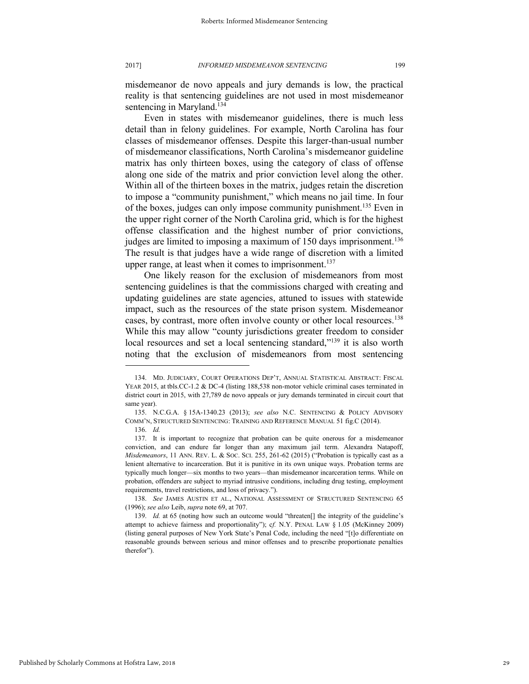misdemeanor de novo appeals and jury demands is low, the practical reality is that sentencing guidelines are not used in most misdemeanor sentencing in Maryland.<sup>134</sup>

Even in states with misdemeanor guidelines, there is much less detail than in felony guidelines. For example, North Carolina has four classes of misdemeanor offenses. Despite this larger-than-usual number of misdemeanor classifications, North Carolina's misdemeanor guideline matrix has only thirteen boxes, using the category of class of offense along one side of the matrix and prior conviction level along the other. Within all of the thirteen boxes in the matrix, judges retain the discretion to impose a "community punishment," which means no jail time. In four of the boxes, judges can only impose community punishment.<sup>135</sup> Even in the upper right corner of the North Carolina grid, which is for the highest offense classification and the highest number of prior convictions, judges are limited to imposing a maximum of 150 days imprisonment.<sup>136</sup> The result is that judges have a wide range of discretion with a limited upper range, at least when it comes to imprisonment.<sup>137</sup>

One likely reason for the exclusion of misdemeanors from most sentencing guidelines is that the commissions charged with creating and updating guidelines are state agencies, attuned to issues with statewide impact, such as the resources of the state prison system. Misdemeanor cases, by contrast, more often involve county or other local resources.<sup>138</sup> While this may allow "county jurisdictions greater freedom to consider local resources and set a local sentencing standard,"<sup>139</sup> it is also worth noting that the exclusion of misdemeanors from most sentencing

<sup>134.</sup> MD. JUDICIARY, COURT OPERATIONS DEP'T, ANNUAL STATISTICAL ABSTRACT: FISCAL YEAR 2015, at tbls.CC-1.2 & DC-4 (listing 188,538 non-motor vehicle criminal cases terminated in district court in 2015, with 27,789 de novo appeals or jury demands terminated in circuit court that same year).

<sup>135.</sup> N.C.G.A. § 15A-1340.23 (2013); *see also* N.C. SENTENCING & POLICY ADVISORY COMM'N, STRUCTURED SENTENCING: TRAINING AND REFERENCE MANUAL 51 fig.C (2014).

<sup>136.</sup> *Id.*

<sup>137.</sup> It is important to recognize that probation can be quite onerous for a misdemeanor conviction, and can endure far longer than any maximum jail term. Alexandra Natapoff, *Misdemeanors*, 11 ANN. REV. L. & SOC. SCI. 255, 261-62 (2015) ("Probation is typically cast as a lenient alternative to incarceration. But it is punitive in its own unique ways. Probation terms are typically much longer—six months to two years—than misdemeanor incarceration terms. While on probation, offenders are subject to myriad intrusive conditions, including drug testing, employment requirements, travel restrictions, and loss of privacy.").

<sup>138.</sup> *See* JAMES AUSTIN ET AL., NATIONAL ASSESSMENT OF STRUCTURED SENTENCING 65 (1996); *see also* Leib, *supra* note 69, at 707.

<sup>139.</sup> *Id.* at 65 (noting how such an outcome would "threaten[] the integrity of the guideline's attempt to achieve fairness and proportionality"); c*f.* N.Y. PENAL LAW § 1.05 (McKinney 2009) (listing general purposes of New York State's Penal Code, including the need "[t]o differentiate on reasonable grounds between serious and minor offenses and to prescribe proportionate penalties therefor").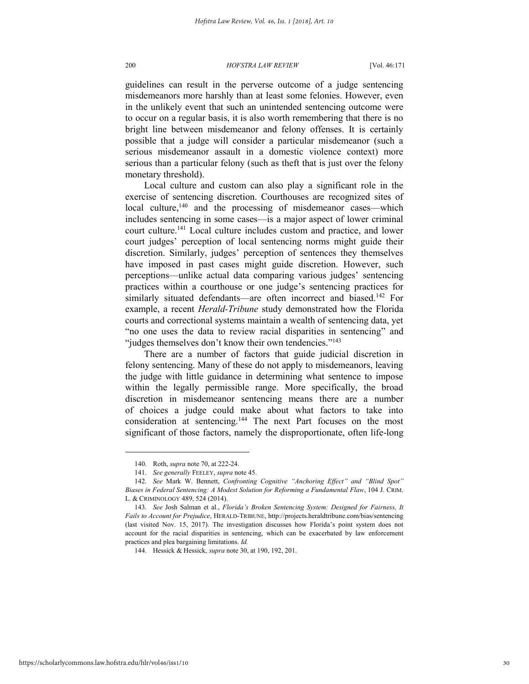guidelines can result in the perverse outcome of a judge sentencing misdemeanors more harshly than at least some felonies. However, even in the unlikely event that such an unintended sentencing outcome were to occur on a regular basis, it is also worth remembering that there is no bright line between misdemeanor and felony offenses. It is certainly possible that a judge will consider a particular misdemeanor (such a serious misdemeanor assault in a domestic violence context) more serious than a particular felony (such as theft that is just over the felony monetary threshold).

Local culture and custom can also play a significant role in the exercise of sentencing discretion. Courthouses are recognized sites of local culture,<sup>140</sup> and the processing of misdemeanor cases—which includes sentencing in some cases—is a major aspect of lower criminal court culture.<sup>141</sup> Local culture includes custom and practice, and lower court judges' perception of local sentencing norms might guide their discretion. Similarly, judges' perception of sentences they themselves have imposed in past cases might guide discretion. However, such perceptions—unlike actual data comparing various judges' sentencing practices within a courthouse or one judge's sentencing practices for similarly situated defendants—are often incorrect and biased.<sup>142</sup> For example, a recent *Herald-Tribune* study demonstrated how the Florida courts and correctional systems maintain a wealth of sentencing data, yet "no one uses the data to review racial disparities in sentencing" and "judges themselves don't know their own tendencies."<sup>143</sup>

There are a number of factors that guide judicial discretion in felony sentencing. Many of these do not apply to misdemeanors, leaving the judge with little guidance in determining what sentence to impose within the legally permissible range. More specifically, the broad discretion in misdemeanor sentencing means there are a number of choices a judge could make about what factors to take into consideration at sentencing.<sup>144</sup> The next Part focuses on the most significant of those factors, namely the disproportionate, often life-long

<sup>140.</sup> Roth, *supra* note 70, at 222-24.

<sup>141.</sup> *See generally* FEELEY, *supra* note 45.

<sup>142.</sup> *See* Mark W. Bennett, *Confronting Cognitive "Anchoring Effect" and "Blind Spot" Biases in Federal Sentencing: A Modest Solution for Reforming a Fundamental Flaw*, 104 J. CRIM. L. & CRIMINOLOGY 489, 524 (2014).

<sup>143.</sup> *See* Josh Salman et al., *Florida's Broken Sentencing System: Designed for Fairness, It Fails to Account for Prejudice*, HERALD-TRIBUNE, http://projects.heraldtribune.com/bias/sentencing (last visited Nov. 15, 2017). The investigation discusses how Florida's point system does not account for the racial disparities in sentencing, which can be exacerbated by law enforcement practices and plea bargaining limitations. *Id.* 

<sup>144.</sup> Hessick & Hessick, *supra* note 30, at 190, 192, 201.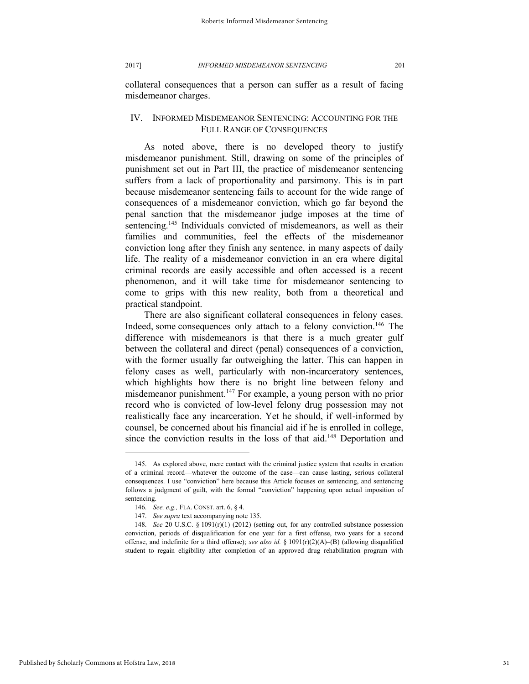collateral consequences that a person can suffer as a result of facing misdemeanor charges.

### IV. INFORMED MISDEMEANOR SENTENCING: ACCOUNTING FOR THE FULL RANGE OF CONSEQUENCES

As noted above, there is no developed theory to justify misdemeanor punishment. Still, drawing on some of the principles of punishment set out in Part III, the practice of misdemeanor sentencing suffers from a lack of proportionality and parsimony. This is in part because misdemeanor sentencing fails to account for the wide range of consequences of a misdemeanor conviction, which go far beyond the penal sanction that the misdemeanor judge imposes at the time of sentencing.<sup>145</sup> Individuals convicted of misdemeanors, as well as their families and communities, feel the effects of the misdemeanor conviction long after they finish any sentence, in many aspects of daily life. The reality of a misdemeanor conviction in an era where digital criminal records are easily accessible and often accessed is a recent phenomenon, and it will take time for misdemeanor sentencing to come to grips with this new reality, both from a theoretical and practical standpoint.

There are also significant collateral consequences in felony cases. Indeed, some consequences only attach to a felony conviction.<sup>146</sup> The difference with misdemeanors is that there is a much greater gulf between the collateral and direct (penal) consequences of a conviction, with the former usually far outweighing the latter. This can happen in felony cases as well, particularly with non-incarceratory sentences, which highlights how there is no bright line between felony and misdemeanor punishment.<sup>147</sup> For example, a young person with no prior record who is convicted of low-level felony drug possession may not realistically face any incarceration. Yet he should, if well-informed by counsel, be concerned about his financial aid if he is enrolled in college, since the conviction results in the loss of that aid.<sup>148</sup> Deportation and

<sup>145.</sup> As explored above, mere contact with the criminal justice system that results in creation of a criminal record—whatever the outcome of the case—can cause lasting, serious collateral consequences. I use "conviction" here because this Article focuses on sentencing, and sentencing follows a judgment of guilt, with the formal "conviction" happening upon actual imposition of sentencing.

<sup>146.</sup> *See, e.g.,* FLA. CONST. art. 6, § 4.

<sup>147.</sup> *See supra* text accompanying note 135.

<sup>148.</sup> *See* 20 U.S.C. § 1091(r)(1) (2012) (setting out, for any controlled substance possession conviction, periods of disqualification for one year for a first offense, two years for a second offense, and indefinite for a third offense); *see also id.* § 1091(r)(2)(A)–(B) (allowing disqualified student to regain eligibility after completion of an approved drug rehabilitation program with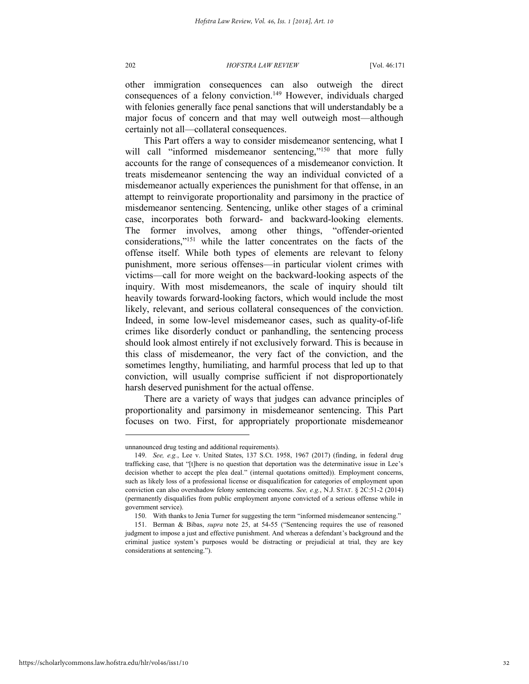other immigration consequences can also outweigh the direct consequences of a felony conviction.<sup>149</sup> However, individuals charged with felonies generally face penal sanctions that will understandably be a major focus of concern and that may well outweigh most—although certainly not all—collateral consequences.

This Part offers a way to consider misdemeanor sentencing, what I will call "informed misdemeanor sentencing,"<sup>150</sup> that more fully accounts for the range of consequences of a misdemeanor conviction. It treats misdemeanor sentencing the way an individual convicted of a misdemeanor actually experiences the punishment for that offense, in an attempt to reinvigorate proportionality and parsimony in the practice of misdemeanor sentencing. Sentencing, unlike other stages of a criminal case, incorporates both forward- and backward-looking elements. The former involves, among other things, "offender-oriented considerations," <sup>151</sup> while the latter concentrates on the facts of the offense itself. While both types of elements are relevant to felony punishment, more serious offenses—in particular violent crimes with victims—call for more weight on the backward-looking aspects of the inquiry. With most misdemeanors, the scale of inquiry should tilt heavily towards forward-looking factors, which would include the most likely, relevant, and serious collateral consequences of the conviction. Indeed, in some low-level misdemeanor cases, such as quality-of-life crimes like disorderly conduct or panhandling, the sentencing process should look almost entirely if not exclusively forward. This is because in this class of misdemeanor, the very fact of the conviction, and the sometimes lengthy, humiliating, and harmful process that led up to that conviction, will usually comprise sufficient if not disproportionately harsh deserved punishment for the actual offense.

There are a variety of ways that judges can advance principles of proportionality and parsimony in misdemeanor sentencing. This Part focuses on two. First, for appropriately proportionate misdemeanor

unnanounced drug testing and additional requirements).

<sup>149.</sup> *See, e.g.*, Lee v. United States, 137 S.Ct. 1958, 1967 (2017) (finding, in federal drug trafficking case, that "[t]here is no question that deportation was the determinative issue in Lee's decision whether to accept the plea deal." (internal quotations omitted)). Employment concerns, such as likely loss of a professional license or disqualification for categories of employment upon conviction can also overshadow felony sentencing concerns. *See, e.g.*, N.J. STAT. § 2C:51-2 (2014) (permanently disqualifies from public employment anyone convicted of a serious offense while in government service).

<sup>150.</sup> With thanks to Jenia Turner for suggesting the term "informed misdemeanor sentencing."

<sup>151.</sup> Berman & Bibas, *supra* note 25, at 54-55 ("Sentencing requires the use of reasoned judgment to impose a just and effective punishment. And whereas a defendant's background and the criminal justice system's purposes would be distracting or prejudicial at trial, they are key considerations at sentencing.").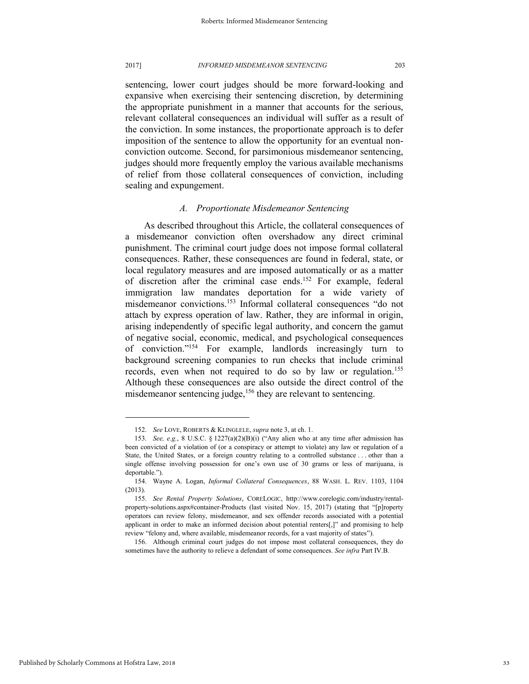sentencing, lower court judges should be more forward-looking and expansive when exercising their sentencing discretion, by determining the appropriate punishment in a manner that accounts for the serious, relevant collateral consequences an individual will suffer as a result of the conviction. In some instances, the proportionate approach is to defer imposition of the sentence to allow the opportunity for an eventual nonconviction outcome. Second, for parsimonious misdemeanor sentencing, judges should more frequently employ the various available mechanisms of relief from those collateral consequences of conviction, including sealing and expungement.

### *A. Proportionate Misdemeanor Sentencing*

As described throughout this Article, the collateral consequences of a misdemeanor conviction often overshadow any direct criminal punishment. The criminal court judge does not impose formal collateral consequences. Rather, these consequences are found in federal, state, or local regulatory measures and are imposed automatically or as a matter of discretion after the criminal case ends.<sup>152</sup> For example, federal immigration law mandates deportation for a wide variety of misdemeanor convictions.<sup>153</sup> Informal collateral consequences "do not attach by express operation of law. Rather, they are informal in origin, arising independently of specific legal authority, and concern the gamut of negative social, economic, medical, and psychological consequences of conviction." <sup>154</sup> For example, landlords increasingly turn to background screening companies to run checks that include criminal records, even when not required to do so by law or regulation.<sup>155</sup> Although these consequences are also outside the direct control of the misdemeanor sentencing judge,<sup>156</sup> they are relevant to sentencing.

<sup>152.</sup> *See* LOVE, ROBERTS & KLINGLELE, *supra* note 3, at ch. 1.

<sup>153.</sup> *See, e.g.*, 8 U.S.C. § 1227(a)(2)(B)(i) ("Any alien who at any time after admission has been convicted of a violation of (or a conspiracy or attempt to violate) any law or regulation of a State, the United States, or a foreign country relating to a controlled substance . . . other than a single offense involving possession for one's own use of 30 grams or less of marijuana, is deportable.").

<sup>154.</sup> Wayne A. Logan, *Informal Collateral Consequences*, 88 WASH. L. REV. 1103, 1104 (2013).

<sup>155.</sup> *See Rental Property Solutions*, CORELOGIC, http://www.corelogic.com/industry/rentalproperty-solutions.aspx#container-Products (last visited Nov. 15, 2017) (stating that "[p]roperty operators can review felony, misdemeanor, and sex offender records associated with a potential applicant in order to make an informed decision about potential renters[,]" and promising to help review "felony and, where available, misdemeanor records, for a vast majority of states").

<sup>156.</sup> Although criminal court judges do not impose most collateral consequences, they do sometimes have the authority to relieve a defendant of some consequences. *See infra* Part IV.B.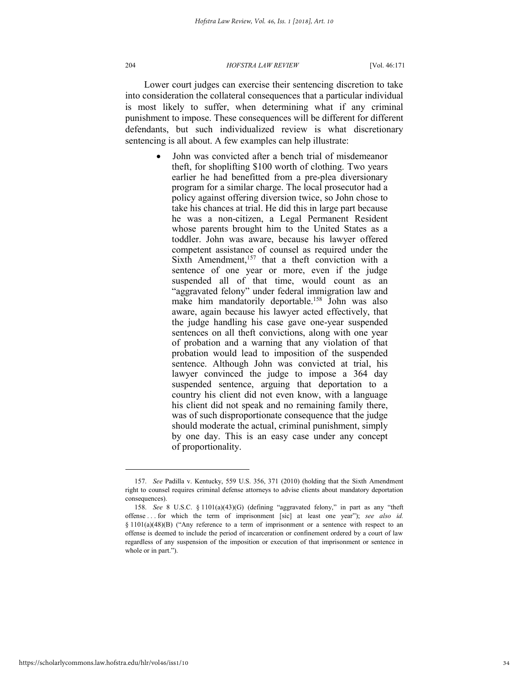Lower court judges can exercise their sentencing discretion to take into consideration the collateral consequences that a particular individual is most likely to suffer, when determining what if any criminal punishment to impose. These consequences will be different for different defendants, but such individualized review is what discretionary sentencing is all about. A few examples can help illustrate:

> John was convicted after a bench trial of misdemeanor theft, for shoplifting \$100 worth of clothing. Two years earlier he had benefitted from a pre-plea diversionary program for a similar charge. The local prosecutor had a policy against offering diversion twice, so John chose to take his chances at trial. He did this in large part because he was a non-citizen, a Legal Permanent Resident whose parents brought him to the United States as a toddler. John was aware, because his lawyer offered competent assistance of counsel as required under the Sixth Amendment, $157$  that a theft conviction with a sentence of one year or more, even if the judge suspended all of that time, would count as an "aggravated felony" under federal immigration law and make him mandatorily deportable.<sup>158</sup> John was also aware, again because his lawyer acted effectively, that the judge handling his case gave one-year suspended sentences on all theft convictions, along with one year of probation and a warning that any violation of that probation would lead to imposition of the suspended sentence. Although John was convicted at trial, his lawyer convinced the judge to impose a 364 day suspended sentence, arguing that deportation to a country his client did not even know, with a language his client did not speak and no remaining family there, was of such disproportionate consequence that the judge should moderate the actual, criminal punishment, simply by one day. This is an easy case under any concept of proportionality.

<sup>157.</sup> *See* Padilla v. Kentucky, 559 U.S. 356, 371 (2010) (holding that the Sixth Amendment right to counsel requires criminal defense attorneys to advise clients about mandatory deportation consequences).

<sup>158.</sup> *See* 8 U.S.C. § 1101(a)(43)(G) (defining "aggravated felony," in part as any "theft offense . . . for which the term of imprisonment [sic] at least one year"); *see also id.* § 1101(a)(48)(B) ("Any reference to a term of imprisonment or a sentence with respect to an offense is deemed to include the period of incarceration or confinement ordered by a court of law regardless of any suspension of the imposition or execution of that imprisonment or sentence in whole or in part.").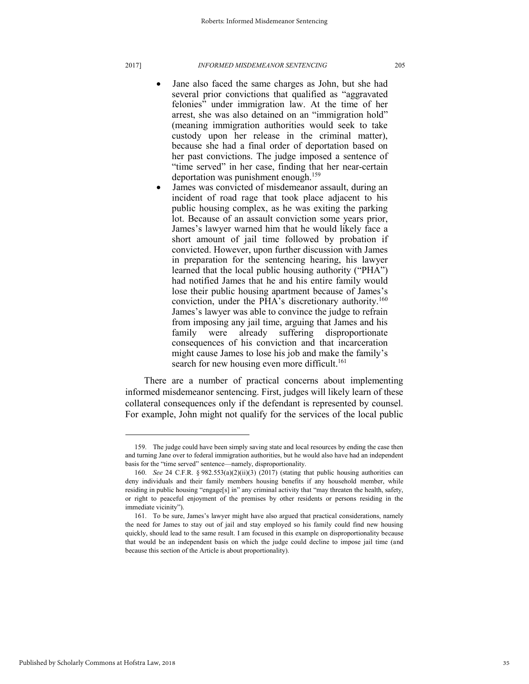- Jane also faced the same charges as John, but she had several prior convictions that qualified as "aggravated felonies" under immigration law. At the time of her arrest, she was also detained on an "immigration hold" (meaning immigration authorities would seek to take custody upon her release in the criminal matter), because she had a final order of deportation based on her past convictions. The judge imposed a sentence of "time served" in her case, finding that her near-certain deportation was punishment enough.<sup>159</sup>
- James was convicted of misdemeanor assault, during an incident of road rage that took place adjacent to his public housing complex, as he was exiting the parking lot. Because of an assault conviction some years prior, James's lawyer warned him that he would likely face a short amount of jail time followed by probation if convicted. However, upon further discussion with James in preparation for the sentencing hearing, his lawyer learned that the local public housing authority ("PHA") had notified James that he and his entire family would lose their public housing apartment because of James's conviction, under the PHA's discretionary authority.<sup>160</sup> James's lawyer was able to convince the judge to refrain from imposing any jail time, arguing that James and his family were already suffering disproportionate consequences of his conviction and that incarceration might cause James to lose his job and make the family's search for new housing even more difficult.<sup>161</sup>

There are a number of practical concerns about implementing informed misdemeanor sentencing. First, judges will likely learn of these collateral consequences only if the defendant is represented by counsel. For example, John might not qualify for the services of the local public

<sup>159.</sup> The judge could have been simply saving state and local resources by ending the case then and turning Jane over to federal immigration authorities, but he would also have had an independent basis for the "time served" sentence—namely, disproportionality.

<sup>160.</sup> *See* 24 C.F.R. § 982.553(a)(2)(ii)(3) (2017) (stating that public housing authorities can deny individuals and their family members housing benefits if any household member, while residing in public housing "engage[s] in" any criminal activity that "may threaten the health, safety, or right to peaceful enjoyment of the premises by other residents or persons residing in the immediate vicinity").

<sup>161.</sup> To be sure, James's lawyer might have also argued that practical considerations, namely the need for James to stay out of jail and stay employed so his family could find new housing quickly, should lead to the same result. I am focused in this example on disproportionality because that would be an independent basis on which the judge could decline to impose jail time (and because this section of the Article is about proportionality).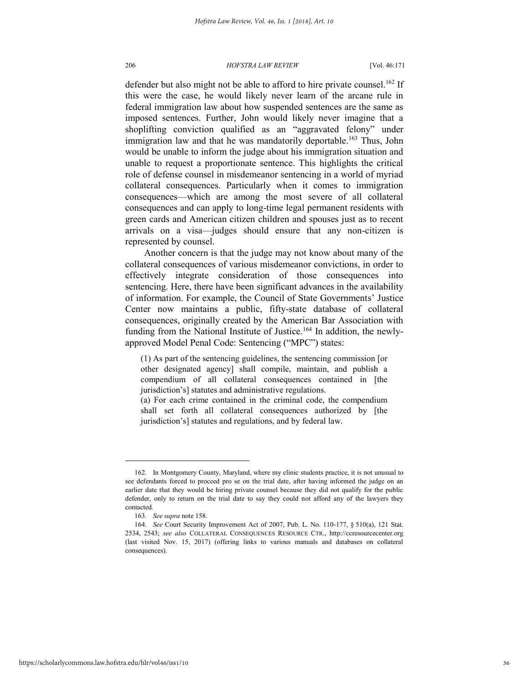defender but also might not be able to afford to hire private counsel.<sup>162</sup> If this were the case, he would likely never learn of the arcane rule in federal immigration law about how suspended sentences are the same as imposed sentences. Further, John would likely never imagine that a shoplifting conviction qualified as an "aggravated felony" under immigration law and that he was mandatorily deportable.<sup>163</sup> Thus, John would be unable to inform the judge about his immigration situation and unable to request a proportionate sentence. This highlights the critical role of defense counsel in misdemeanor sentencing in a world of myriad collateral consequences. Particularly when it comes to immigration consequences—which are among the most severe of all collateral consequences and can apply to long-time legal permanent residents with green cards and American citizen children and spouses just as to recent arrivals on a visa—judges should ensure that any non-citizen is represented by counsel.

Another concern is that the judge may not know about many of the collateral consequences of various misdemeanor convictions, in order to effectively integrate consideration of those consequences into sentencing. Here, there have been significant advances in the availability of information. For example, the Council of State Governments' Justice Center now maintains a public, fifty-state database of collateral consequences, originally created by the American Bar Association with funding from the National Institute of Justice.<sup>164</sup> In addition, the newlyapproved Model Penal Code: Sentencing ("MPC") states:

(1) As part of the sentencing guidelines, the sentencing commission [or other designated agency] shall compile, maintain, and publish a compendium of all collateral consequences contained in [the jurisdiction's] statutes and administrative regulations.

(a) For each crime contained in the criminal code, the compendium shall set forth all collateral consequences authorized by [the jurisdiction's] statutes and regulations, and by federal law.

<sup>162.</sup> In Montgomery County, Maryland, where my clinic students practice, it is not unusual to see defendants forced to proceed pro se on the trial date, after having informed the judge on an earlier date that they would be hiring private counsel because they did not qualify for the public defender, only to return on the trial date to say they could not afford any of the lawyers they contacted.

<sup>163.</sup> *See supra* note 158.

<sup>164.</sup> *See* Court Security Improvement Act of 2007, Pub. L. No. 110-177, § 510(a), 121 Stat. 2534, 2543; *see also* COLLATERAL CONSEQUENCES RESOURCE CTR., http://ccresourcecenter.org (last visited Nov. 15, 2017) (offering links to various manuals and databases on collateral consequences).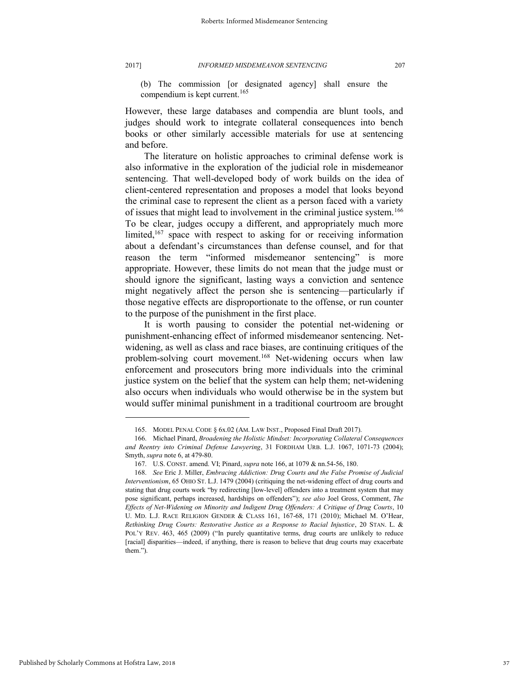(b) The commission [or designated agency] shall ensure the compendium is kept current.<sup>165</sup>

However, these large databases and compendia are blunt tools, and judges should work to integrate collateral consequences into bench books or other similarly accessible materials for use at sentencing and before.

The literature on holistic approaches to criminal defense work is also informative in the exploration of the judicial role in misdemeanor sentencing. That well-developed body of work builds on the idea of client-centered representation and proposes a model that looks beyond the criminal case to represent the client as a person faced with a variety of issues that might lead to involvement in the criminal justice system.<sup>166</sup> To be clear, judges occupy a different, and appropriately much more limited,<sup>167</sup> space with respect to asking for or receiving information about a defendant's circumstances than defense counsel, and for that reason the term "informed misdemeanor sentencing" is more appropriate. However, these limits do not mean that the judge must or should ignore the significant, lasting ways a conviction and sentence might negatively affect the person she is sentencing—particularly if those negative effects are disproportionate to the offense, or run counter to the purpose of the punishment in the first place.

It is worth pausing to consider the potential net-widening or punishment-enhancing effect of informed misdemeanor sentencing. Netwidening, as well as class and race biases, are continuing critiques of the problem-solving court movement.<sup>168</sup> Net-widening occurs when law enforcement and prosecutors bring more individuals into the criminal justice system on the belief that the system can help them; net-widening also occurs when individuals who would otherwise be in the system but would suffer minimal punishment in a traditional courtroom are brought

<sup>165.</sup> MODEL PENAL CODE § 6x.02 (AM. LAW INST., Proposed Final Draft 2017).

<sup>166.</sup> Michael Pinard, *Broadening the Holistic Mindset: Incorporating Collateral Consequences and Reentry into Criminal Defense Lawyering*, 31 FORDHAM URB. L.J. 1067, 1071-73 (2004); Smyth, *supra* note 6, at 479-80.

<sup>167.</sup> U.S. CONST. amend. VI; Pinard, *supra* note 166, at 1079 & nn.54-56, 180.

<sup>168.</sup> *See* Eric J. Miller, *Embracing Addiction: Drug Courts and the False Promise of Judicial Interventionism*, 65 OHIO ST. L.J. 1479 (2004) (critiquing the net-widening effect of drug courts and stating that drug courts work "by redirecting [low-level] offenders into a treatment system that may pose significant, perhaps increased, hardships on offenders"); *see also* Joel Gross, Comment, *The Effects of Net-Widening on Minority and Indigent Drug Offenders: A Critique of Drug Courts*, 10 U. MD. L.J. RACE RELIGION GENDER & CLASS 161, 167-68, 171 (2010); Michael M. O'Hear, *Rethinking Drug Courts: Restorative Justice as a Response to Racial Injustice*, 20 STAN. L. & POL'Y REV. 463, 465 (2009) ("In purely quantitative terms, drug courts are unlikely to reduce [racial] disparities—indeed, if anything, there is reason to believe that drug courts may exacerbate them.").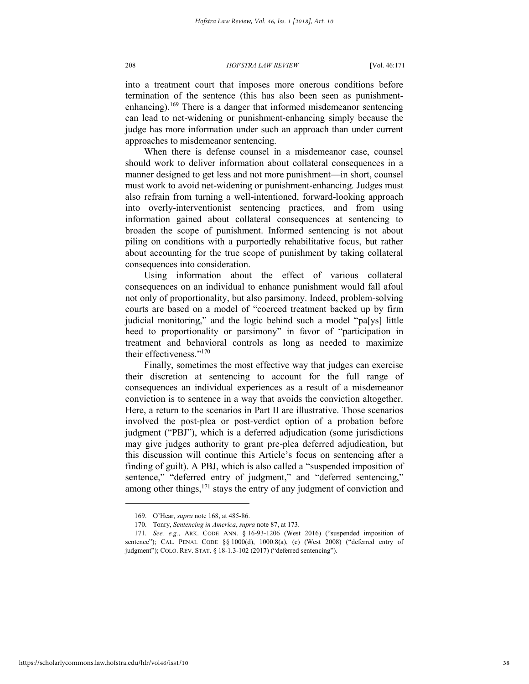into a treatment court that imposes more onerous conditions before termination of the sentence (this has also been seen as punishmentenhancing).<sup>169</sup> There is a danger that informed misdemeanor sentencing can lead to net-widening or punishment-enhancing simply because the judge has more information under such an approach than under current approaches to misdemeanor sentencing.

When there is defense counsel in a misdemeanor case, counsel should work to deliver information about collateral consequences in a manner designed to get less and not more punishment—in short, counsel must work to avoid net-widening or punishment-enhancing. Judges must also refrain from turning a well-intentioned, forward-looking approach into overly-interventionist sentencing practices, and from using information gained about collateral consequences at sentencing to broaden the scope of punishment. Informed sentencing is not about piling on conditions with a purportedly rehabilitative focus, but rather about accounting for the true scope of punishment by taking collateral consequences into consideration.

Using information about the effect of various collateral consequences on an individual to enhance punishment would fall afoul not only of proportionality, but also parsimony. Indeed, problem-solving courts are based on a model of "coerced treatment backed up by firm judicial monitoring," and the logic behind such a model "pa[ys] little heed to proportionality or parsimony" in favor of "participation in treatment and behavioral controls as long as needed to maximize their effectiveness." 170

Finally, sometimes the most effective way that judges can exercise their discretion at sentencing to account for the full range of consequences an individual experiences as a result of a misdemeanor conviction is to sentence in a way that avoids the conviction altogether. Here, a return to the scenarios in Part II are illustrative. Those scenarios involved the post-plea or post-verdict option of a probation before judgment ("PBJ"), which is a deferred adjudication (some jurisdictions may give judges authority to grant pre-plea deferred adjudication, but this discussion will continue this Article's focus on sentencing after a finding of guilt). A PBJ, which is also called a "suspended imposition of sentence," "deferred entry of judgment," and "deferred sentencing," among other things,  $^{171}$  stays the entry of any judgment of conviction and

<sup>169.</sup> O'Hear, *supra* note 168, at 485-86.

<sup>170.</sup> Tonry, *Sentencing in America*, *supra* note 87, at 173.

<sup>171.</sup> *See, e.g.*, ARK. CODE ANN. § 16-93-1206 (West 2016) ("suspended imposition of sentence"); CAL. PENAL CODE §§ 1000(d), 1000.8(a), (c) (West 2008) ("deferred entry of judgment"); COLO. REV. STAT. § 18-1.3-102 (2017) ("deferred sentencing").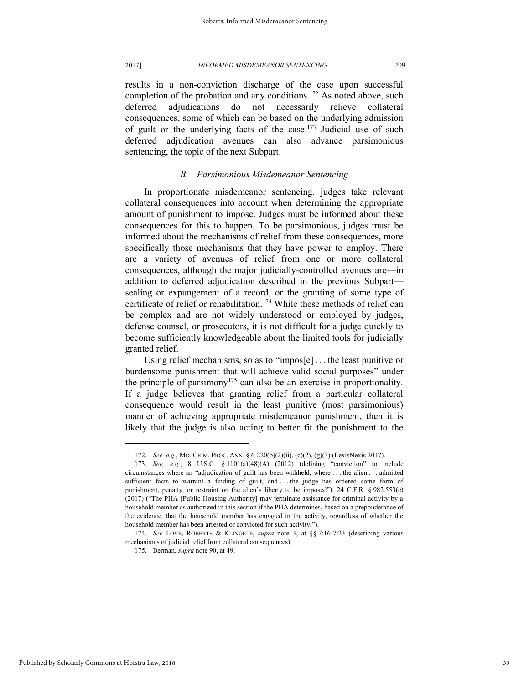results in a non-conviction discharge of the case upon successful completion of the probation and any conditions.<sup>172</sup> As noted above, such deferred adjudications do not necessarily relieve collateral consequences, some of which can be based on the underlying admission of guilt or the underlying facts of the case.<sup>173</sup> Judicial use of such deferred adjudication avenues can also advance parsimonious sentencing, the topic of the next Subpart.

### *B. Parsimonious Misdemeanor Sentencing*

In proportionate misdemeanor sentencing, judges take relevant collateral consequences into account when determining the appropriate amount of punishment to impose. Judges must be informed about these consequences for this to happen. To be parsimonious, judges must be informed about the mechanisms of relief from these consequences, more specifically those mechanisms that they have power to employ. There are a variety of avenues of relief from one or more collateral consequences, although the major judicially-controlled avenues are—in addition to deferred adjudication described in the previous Subpart sealing or expungement of a record, or the granting of some type of certificate of relief or rehabilitation.<sup>174</sup> While these methods of relief can be complex and are not widely understood or employed by judges, defense counsel, or prosecutors, it is not difficult for a judge quickly to become sufficiently knowledgeable about the limited tools for judicially granted relief.

Using relief mechanisms, so as to "impos[e] . . . the least punitive or burdensome punishment that will achieve valid social purposes" under the principle of parsimony<sup>175</sup> can also be an exercise in proportionality. If a judge believes that granting relief from a particular collateral consequence would result in the least punitive (most parsimonious) manner of achieving appropriate misdemeanor punishment, then it is likely that the judge is also acting to better fit the punishment to the

<sup>172.</sup> *See, e.g.*, MD. CRIM. PROC. ANN. § 6-220(b)(2)(ii), (c)(2), (g)(3) (LexisNexis 2017).

<sup>173.</sup> *See, e.g.*, 8 U.S.C. § 1101(a)(48)(A) (2012) (defining "conviction" to include circumstances where an "adjudication of guilt has been withheld, where . . . the alien . . . admitted sufficient facts to warrant a finding of guilt, and ... the judge has ordered some form of punishment, penalty, or restraint on the alien's liberty to be imposed"); 24 C.F.R. § 982.553(c) (2017) ("The PHA [Public Housing Authority] may terminate assistance for criminal activity by a household member as authorized in this section if the PHA determines, based on a preponderance of the evidence, that the household member has engaged in the activity, regardless of whether the household member has been arrested or convicted for such activity.").

<sup>174.</sup> *See* LOVE, ROBERTS & KLINGELE, *supra* note 3, at §§ 7:16-7:23 (describing various mechanisms of judicial relief from collateral consequences).

<sup>175.</sup> Berman, *supra* note 90, at 49.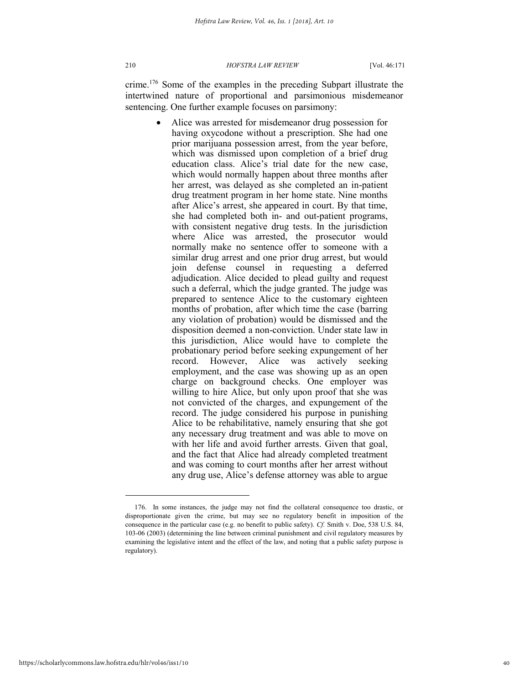crime.<sup>176</sup> Some of the examples in the preceding Subpart illustrate the intertwined nature of proportional and parsimonious misdemeanor sentencing. One further example focuses on parsimony:

> Alice was arrested for misdemeanor drug possession for having oxycodone without a prescription. She had one prior marijuana possession arrest, from the year before, which was dismissed upon completion of a brief drug education class. Alice's trial date for the new case, which would normally happen about three months after her arrest, was delayed as she completed an in-patient drug treatment program in her home state. Nine months after Alice's arrest, she appeared in court. By that time, she had completed both in- and out-patient programs, with consistent negative drug tests. In the jurisdiction where Alice was arrested, the prosecutor would normally make no sentence offer to someone with a similar drug arrest and one prior drug arrest, but would join defense counsel in requesting a deferred adjudication. Alice decided to plead guilty and request such a deferral, which the judge granted. The judge was prepared to sentence Alice to the customary eighteen months of probation, after which time the case (barring any violation of probation) would be dismissed and the disposition deemed a non-conviction. Under state law in this jurisdiction, Alice would have to complete the probationary period before seeking expungement of her record. However, Alice was actively seeking employment, and the case was showing up as an open charge on background checks. One employer was willing to hire Alice, but only upon proof that she was not convicted of the charges, and expungement of the record. The judge considered his purpose in punishing Alice to be rehabilitative, namely ensuring that she got any necessary drug treatment and was able to move on with her life and avoid further arrests. Given that goal, and the fact that Alice had already completed treatment and was coming to court months after her arrest without any drug use, Alice's defense attorney was able to argue

<sup>176.</sup> In some instances, the judge may not find the collateral consequence too drastic, or disproportionate given the crime, but may see no regulatory benefit in imposition of the consequence in the particular case (e.g. no benefit to public safety). *Cf.* Smith v. Doe, 538 U.S. 84, 103-06 (2003) (determining the line between criminal punishment and civil regulatory measures by examining the legislative intent and the effect of the law, and noting that a public safety purpose is regulatory).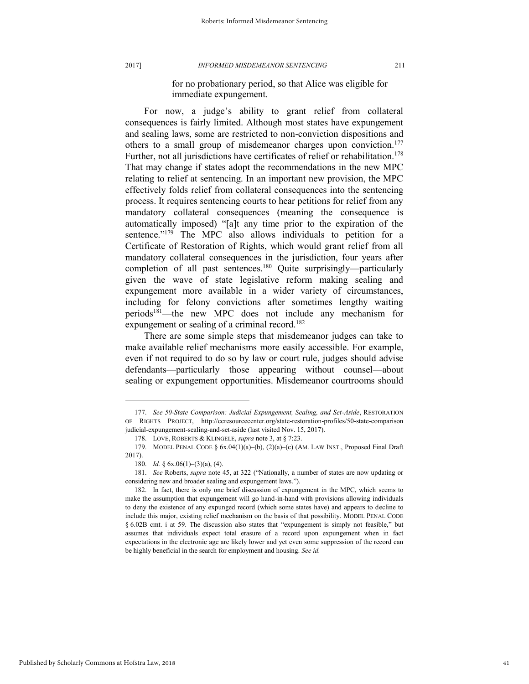for no probationary period, so that Alice was eligible for immediate expungement.

For now, a judge's ability to grant relief from collateral consequences is fairly limited. Although most states have expungement and sealing laws, some are restricted to non-conviction dispositions and others to a small group of misdemeanor charges upon conviction.<sup>177</sup> Further, not all jurisdictions have certificates of relief or rehabilitation.<sup>178</sup> That may change if states adopt the recommendations in the new MPC relating to relief at sentencing. In an important new provision, the MPC effectively folds relief from collateral consequences into the sentencing process. It requires sentencing courts to hear petitions for relief from any mandatory collateral consequences (meaning the consequence is automatically imposed) "[a]t any time prior to the expiration of the sentence."<sup>179</sup> The MPC also allows individuals to petition for a Certificate of Restoration of Rights, which would grant relief from all mandatory collateral consequences in the jurisdiction, four years after completion of all past sentences.<sup>180</sup> Ouite surprisingly—particularly given the wave of state legislative reform making sealing and expungement more available in a wider variety of circumstances, including for felony convictions after sometimes lengthy waiting periods<sup>181</sup>—the new MPC does not include any mechanism for expungement or sealing of a criminal record.<sup>182</sup>

There are some simple steps that misdemeanor judges can take to make available relief mechanisms more easily accessible. For example, even if not required to do so by law or court rule, judges should advise defendants—particularly those appearing without counsel—about sealing or expungement opportunities. Misdemeanor courtrooms should

<sup>177.</sup> *See 50-State Comparison: Judicial Expungement, Sealing, and Set-Aside*, RESTORATION OF RIGHTS PROJECT, http://ccresourcecenter.org/state-restoration-profiles/50-state-comparison judicial-expungement-sealing-and-set-aside (last visited Nov. 15, 2017).

<sup>178.</sup> LOVE, ROBERTS & KLINGELE, *supra* note 3, at § 7:23.

<sup>179.</sup> MODEL PENAL CODE § 6x.04(1)(a)–(b), (2)(a)–(c) (AM. LAW INST., Proposed Final Draft 2017).

<sup>180.</sup> *Id.* § 6x.06(1)–(3)(a), (4).

<sup>181.</sup> *See* Roberts, *supra* note 45, at 322 ("Nationally, a number of states are now updating or considering new and broader sealing and expungement laws.").

<sup>182.</sup> In fact, there is only one brief discussion of expungement in the MPC, which seems to make the assumption that expungement will go hand-in-hand with provisions allowing individuals to deny the existence of any expunged record (which some states have) and appears to decline to include this major, existing relief mechanism on the basis of that possibility. MODEL PENAL CODE § 6.02B cmt. i at 59. The discussion also states that "expungement is simply not feasible," but assumes that individuals expect total erasure of a record upon expungement when in fact expectations in the electronic age are likely lower and yet even some suppression of the record can be highly beneficial in the search for employment and housing. *See id.*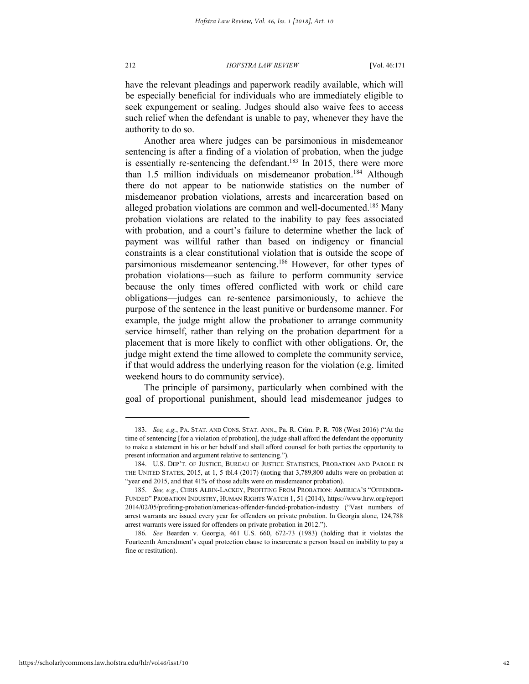have the relevant pleadings and paperwork readily available, which will be especially beneficial for individuals who are immediately eligible to seek expungement or sealing. Judges should also waive fees to access such relief when the defendant is unable to pay, whenever they have the authority to do so.

Another area where judges can be parsimonious in misdemeanor sentencing is after a finding of a violation of probation, when the judge is essentially re-sentencing the defendant.<sup>183</sup> In 2015, there were more than 1.5 million individuals on misdemeanor probation.<sup>184</sup> Although there do not appear to be nationwide statistics on the number of misdemeanor probation violations, arrests and incarceration based on alleged probation violations are common and well-documented.<sup>185</sup> Many probation violations are related to the inability to pay fees associated with probation, and a court's failure to determine whether the lack of payment was willful rather than based on indigency or financial constraints is a clear constitutional violation that is outside the scope of parsimonious misdemeanor sentencing.<sup>186</sup> However, for other types of probation violations—such as failure to perform community service because the only times offered conflicted with work or child care obligations—judges can re-sentence parsimoniously, to achieve the purpose of the sentence in the least punitive or burdensome manner. For example, the judge might allow the probationer to arrange community service himself, rather than relying on the probation department for a placement that is more likely to conflict with other obligations. Or, the judge might extend the time allowed to complete the community service, if that would address the underlying reason for the violation (e.g. limited weekend hours to do community service).

The principle of parsimony, particularly when combined with the goal of proportional punishment, should lead misdemeanor judges to

<sup>183.</sup> *See, e.g.*, PA. STAT. AND CONS. STAT. ANN., Pa. R. Crim. P. R. 708 (West 2016) ("At the time of sentencing [for a violation of probation], the judge shall afford the defendant the opportunity to make a statement in his or her behalf and shall afford counsel for both parties the opportunity to present information and argument relative to sentencing.").

<sup>184.</sup> U.S. DEP'T. OF JUSTICE, BUREAU OF JUSTICE STATISTICS, PROBATION AND PAROLE IN THE UNITED STATES, 2015, at 1, 5 tbl.4 (2017) (noting that 3,789,800 adults were on probation at "year end 2015, and that 41% of those adults were on misdemeanor probation).

<sup>185.</sup> *See, e.g.*, CHRIS ALBIN-LACKEY, PROFITING FROM PROBATION: AMERICA'S "OFFENDER-FUNDED" PROBATION INDUSTRY, HUMAN RIGHTS WATCH 1, 51 (2014), https://www.hrw.org/report 2014/02/05/profiting-probation/americas-offender-funded-probation-industry ("Vast numbers of arrest warrants are issued every year for offenders on private probation. In Georgia alone, 124,788 arrest warrants were issued for offenders on private probation in 2012.").

<sup>186.</sup> *See* Bearden v. Georgia, 461 U.S. 660, 672-73 (1983) (holding that it violates the Fourteenth Amendment's equal protection clause to incarcerate a person based on inability to pay a fine or restitution).